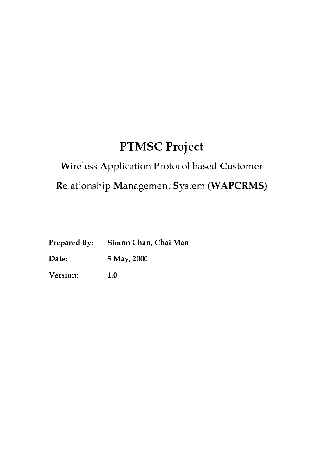# **PTMSC Project**

# Wireless Application Protocol based Customer Relationship Management System (WAPCRMS)

| <b>Prepared By:</b> | Simon Chan, Chai Man |  |
|---------------------|----------------------|--|
|                     |                      |  |

Date: 5 May, 2000

Version:  $1.0$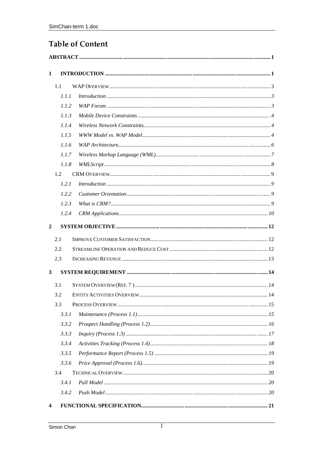# **Table of Content**

| 1                       |       |                |  |  |
|-------------------------|-------|----------------|--|--|
|                         | 1.1   |                |  |  |
|                         | 1.1.1 | Introduction 3 |  |  |
|                         | 1.1.2 |                |  |  |
|                         | 1.1.3 |                |  |  |
|                         | 1.1.4 |                |  |  |
|                         | 1.1.5 |                |  |  |
|                         | 1.1.6 |                |  |  |
|                         | 1.1.7 |                |  |  |
|                         | 1.1.8 |                |  |  |
|                         | 1.2   |                |  |  |
|                         | 1.2.1 |                |  |  |
|                         | 1.2.2 |                |  |  |
|                         | 1.2.3 |                |  |  |
|                         | 1.2.4 |                |  |  |
| $\overline{2}$          |       |                |  |  |
|                         | 2.1   |                |  |  |
|                         | 2.2   |                |  |  |
|                         | 2.3   |                |  |  |
| $\mathbf{3}$            |       |                |  |  |
|                         | 3.1   |                |  |  |
|                         | 3.2   |                |  |  |
|                         | 3.3   |                |  |  |
|                         | 3.3.1 |                |  |  |
|                         | 3.3.2 |                |  |  |
|                         | 3.3.3 |                |  |  |
|                         | 3.3.4 |                |  |  |
|                         | 3.3.5 |                |  |  |
|                         | 3.3.6 |                |  |  |
|                         | 3.4   |                |  |  |
|                         | 3.4.1 |                |  |  |
|                         | 3.4.2 |                |  |  |
| $\overline{\mathbf{4}}$ |       |                |  |  |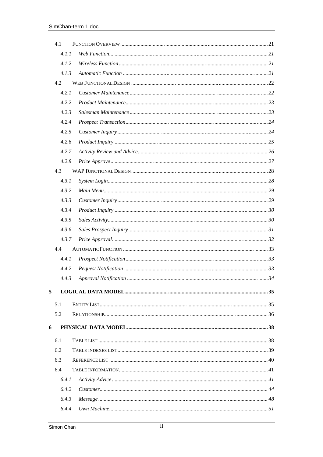|   | 4.1   |                             |  |
|---|-------|-----------------------------|--|
|   | 4.1.1 |                             |  |
|   | 4.1.2 |                             |  |
|   | 4.1.3 |                             |  |
|   | 4.2   |                             |  |
|   | 4.2.1 |                             |  |
|   | 4.2.2 |                             |  |
|   | 4.2.3 |                             |  |
|   | 4.2.4 |                             |  |
|   | 4.2.5 |                             |  |
|   | 4.2.6 |                             |  |
|   | 4.2.7 |                             |  |
|   | 4.2.8 |                             |  |
|   | 4.3   |                             |  |
|   | 4.3.1 |                             |  |
|   | 4.3.2 |                             |  |
|   | 4.3.3 |                             |  |
|   | 4.3.4 | Product In a query 1.1.1.30 |  |
|   | 4.3.5 |                             |  |
|   | 4.3.6 |                             |  |
|   | 4.3.7 |                             |  |
|   | 4.4   |                             |  |
|   | 4.4.1 |                             |  |
|   | 4.4.2 |                             |  |
|   | 4.4.3 |                             |  |
| 5 |       |                             |  |
|   | 5.1   |                             |  |
|   | 5.2   |                             |  |
| 6 |       |                             |  |
|   |       |                             |  |
|   | 6.1   |                             |  |
|   | 6.2   |                             |  |
|   | 6.3   |                             |  |
|   | 6.4   |                             |  |
|   | 6.4.1 |                             |  |
|   | 6.4.2 |                             |  |
|   | 6.4.3 |                             |  |
|   | 6.4.4 |                             |  |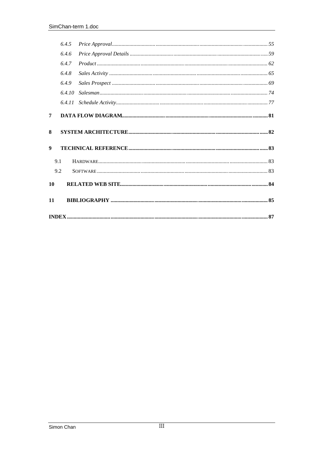|    | 6.4.5 |        |  |
|----|-------|--------|--|
|    | 6.4.6 |        |  |
|    | 6.4.7 |        |  |
|    | 6.4.8 |        |  |
|    | 6.4.9 |        |  |
|    |       | 6.4.10 |  |
|    |       | 6.4.11 |  |
| 7  |       |        |  |
| 8  |       |        |  |
| 9  |       |        |  |
|    | 9.1   |        |  |
|    | 9.2   |        |  |
| 10 |       |        |  |
| 11 |       |        |  |
|    |       |        |  |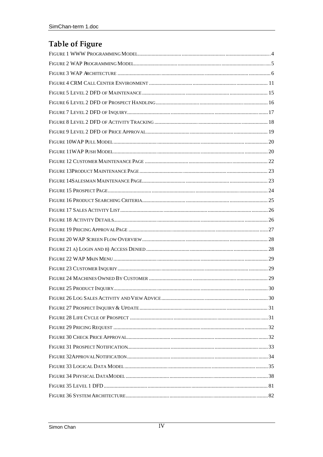# Table of Figure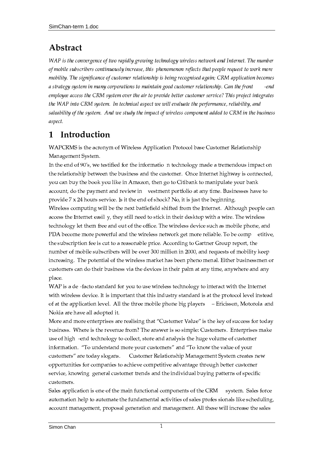# Abstract

WAP is the convergence of two rapidly growing technology wireless network and Internet. The number of mobile subscribers continuously increase, this phenomenon reflects that people request to work more mobility. The significance of customer relationship is being recognised again; CRM application becomes a strategy system in many corporations to maintain good customer relationship. Can the front -end employee access the CRM system over the air to provide better customer service? This project integrates the WAP into CRM system. In technical aspect we will evaluate the performance, reliability, and saleability of the system. And we study the impact of wireless component added to CRM in the business aspect.

#### Introduction 1

WAPCRMS is the acronym of Wireless Application Protocol base Customer Relationship Management System.

In the end of 90's, we testified for the informatio n technology made a tremendous impact on the relationship between the business and the customer. Once Internet highway is connected, you can buy the book you like in Amazon, then go to Citibank to manipulate your bank account, do the payment and review in vestment portfolio at any time. Businesses have to provide  $7 \times 24$  hours service. Is it the end of shock? No, it is just the beginning. Wireless computing will be the next battlefield shifted from the Internet. Although people can access the Internet easil y, they still need to stick in their desktop with a wire. The wireless technology let them free and out of the office. The wireless device such as mobile phone, and PDA become more powerful and the wireless network get more reliable. To be comp etitive, the subscription fee is cut to a reasonable price. According to Gartner Group report, the number of mobile subscribers will be over 300 million in 2000, and requests of mobility keep increasing. The potential of the wireless market has been pheno menal. Either businessmen or customers can do their business via the devices in their palm at any time, anywhere and any place.

WAP is a de-facto standard for you to use wireless technology to interact with the Internet with wireless device. It is important that this industry standard is at the protocol level instead of at the application level. All the three mobile phone big players – Ericisson, Motorola and Nokia are have all adopted it.

More and more enterprises are realising that "Customer Value" is the key of success for today business. Where is the revenue from? The answer is so simple: Customers. Enterprises make use of high -end technology to collect, store and analysis the huge volume of customer information. "To understand more your customers" and "To know the value of your customers" are today slogans. Customer Relationship Management System creates new opportunities for companies to achieve competitive advantage through better customer service, knowing general customer trends and the individual buying patterns of specific customers.

Sales application is one of the main functional components of the CRM system. Sales force automation help to automate the fundamental activities of sales profes sionals like scheduling, account management, proposal generation and management. All these will increase the sales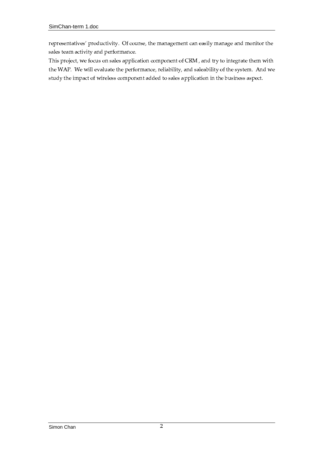representatives' productivity. Of course, the management can easily manage and monitor the sales team activity and performance.

This project, we focus on sales application component of CRM, and try to integrate them with the WAP. We will evaluate the performance, reliability, and saleability of the system. And we study the impact of wireless component added to sales application in the business aspect.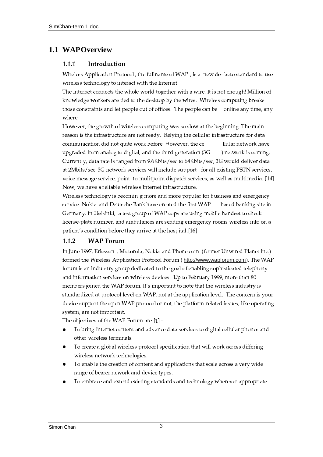## 1.1 WAPOverview

#### $1.1.1$ Introduction

Wireless Application Protocol, the fullname of WAP, is a new de-facto standard to use wireless technology to interact with the Internet.

The Internet connects the whole world together with a wire. It is not enough! Million of knowledge workers are tied to the desktop by the wires. Wireless computing breaks those constraints and let people out of offices. The people can be online any time, any where.

However, the growth of wireless computing was so slow at the beginning. The main reason is the infrastructure are not ready. Relying the cellular infrastructure for data communication did not quite work before. However, the ce llular network have upgraded from analog to digital, and the third generation (3G ) network is coming. Currently, data rate is ranged from 9.6Kbits/sec to 64Kbits/sec, 3G would deliver data at 2Mbits/sec. 3G network services will include support for all existing PSTN services, voice message service, point -to-mulitpoint dispatch services, as well as multimedia. [14] Now, we have a reliable wireless Internet infrastructure.

Wireless technology is becomin g more and more popular for business and emergency service. Nokia and Deutsche Bank have created the first WAP -based banking site in Germany. In Helsinki, a test group of WAP cops are using mobile handset to check license-plate number, and ambulances are sending emergency rooms wireless info on a patient's condition before they arrive at the hospital.[16]

#### $1.1.2$ **WAP** Forum

In June 1997, Ericsson, Motorola, Nokia and Phone.com (former Unwired Planet Inc.) formed the Wireless Application Protocol Forum (http://www.wapforum.com). The WAP forum is an indu stry group dedicated to the goal of enabling sophisticated telephony and information services on wireless devices. Up to February 1999, more than 80 members joined the WAP forum. It's important to note that the wireless industry is standardized at protocol level on WAP, not at the application level. The concern is your device support the open WAP protocol or not, the platform-related issues, like operating system, are not important.

The objectives of the WAP Forum are [1]:

- To bring Internet content and advance data services to digital cellular phones and other wireless terminals.
- To create a global wireless protocol specification that will work across differing wireless network technologies.
- To enable the creation of content and applications that scale across a very wide range of bearer nework and device types.
- To embrace and extend existing standards and technology wherever appropriate.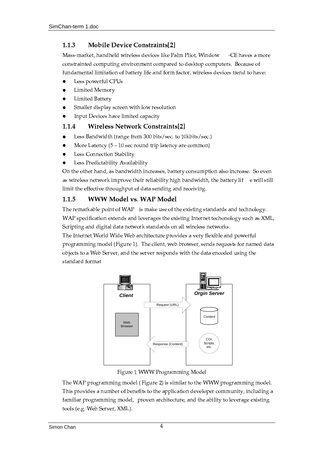#### $1.1.3$ **Mobile Device Constraints[2]**

Mass-market, handheld wireless devices like Palm Pliot, Window -CE haves a more constrainted computing environment compared to desktop computers. Because of fundamental limitation of battery life and form factor, wireless devices trend to have:

- Less powerful CPUs
- Limited Memory
- Limited Battery
- Smaller display screen with low resolution
- Input Devices have limited capacity

#### 1.1.4 **Wireless Network Constraints[2]**

- Less Bandwidth (range from 300 bits/sec. to 10kbits/sec.)
- More Latency  $(5 10 \text{ sec round trip latency are common})$
- Less Connection Stability
- Less Predictability Availability

On the other hand, as bandwidth increases, battery consumption also increase. So even as wireless network improve their reliability high bandwidth, the battery lif e will still limit the effective throughput of data sending and receiving.

#### **WWW Model vs. WAP Model**  $1.1.5$

The remarkable point of WAP is make use of the existing standards and technology. WAP specification extends and leverages the existing Internet techonology such as XML, Scripting and digital data network standards on all wireless networks.

The Internet World Wide Web architecture provides a very flexible and powerful programming model (Figure 1). The client, web browser, sends requests for named data objects to a Web Server, and the server responds with the data encoded using the standard format



Figure 1 WWW Programming Model

The WAP programming model (Figure 2) is similar to the WWW programming model. This provides a number of benefits to the application developer community, including a familiar programming model, proven architecture, and the ability to leverage existing tools (e.g. Web Server, XML).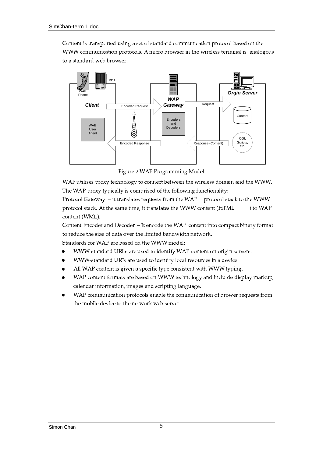Content is transported using a set of standard communication protocol based on the WWW communication protocols. A micro browser in the wireless terminal is analogous to a standard web browser.



Figure 2 WAP Programming Model

WAP utilises proxy technology to connect between the wireless domain and the WWW. The WAP proxy typically is comprised of the following functionality:

Protocol Gateway - it translates requests from the WAP protocol stack to the WWW protocol stack. At the same time, it translates the WWW content (HTML ) to WAP content (WML).

Content Encoder and Decoder - It encode the WAP content into compact binary format to reduce the size of data over the limited bandwidth network.

Standards for WAP are based on the WWW model:

- WWW-standard URLs are used to identify WAP content on origin servers.
- WWW-standard URIs are used to identify local resources in a device.
- All WAP content is given a specific type consistent with WWW typing.
- WAP content formats are based on WWW technology and inclu de display markup, calendar information, images and scripting language.
- WAP communication protocols enable the communication of brower requests from the mobile device to the network web server.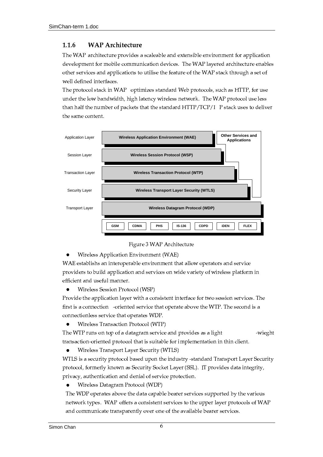#### $1.1.6$ **WAP Architecture**

The WAP architecture provides a scaleable and extensible environment for application development for mobile communication devices. The WAP layered architecture enables other services and applications to utilise the feature of the WAP stack through a set of well defined interfaces.

The protocol stack in WAP optimizes standard Web protocols, such as HTTP, for use under the low bandwidth, high latency wireless network. The WAP protocol use less than half the number of packets that the standard HTTP/TCP/I P stack uses to deliver the same content.



### Figure 3 WAP Architecture

Wireless Application Environment (WAE)

WAE establishs an interoperable environment that allow operators and service providers to build application and services on wide variety of wireless platform in efficient and useful manner.

 $\bullet$ Wireless Session Protocol (WSP)

Provide the application layer with a consistent interface for two session services. The first is a connection -oriented service that operate above the WTP. The second is a connectionless service that operates WDP.

Wireless Transaction Protocol (WTP)

The WTP runs on top of a datagram service and provides as a light -wieght transaction-oriented protocol that is suitable for implementation in thin client.

Wireless Transport Layer Security (WTLS)  $\bullet$ 

WTLS is a security protocol based upon the industry-standard Transport Layer Security protocol, formerly known as Security Socket Layer (SSL). IT provides data integrity, privacy, authentication and denial of service protection.

Wireless Datagram Protocol (WDP)

The WDP operates above the data capable bearer services supported by the various network types. WAP offers a consistent services to the upper layer protocols of WAP and communicate transparently over one of the available bearer services.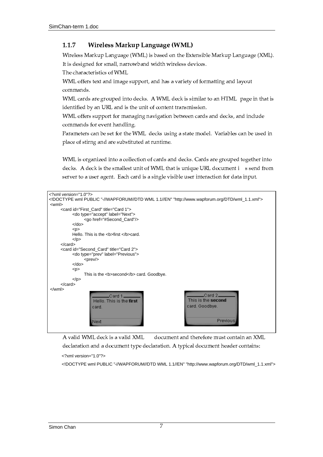#### $1.1.7$ Wireless Markup Language (WML)

Wireless Markup Language (WML) is based on the Extensible Markup Language (XML). It is designed for small, narrowband width wireless devices.

The characteristics of WML

WML offers text and image support, and has a variety of formatting and layout commands.

WML cards are grouped into decks. A WML deck is similar to an HTML page in that is identified by an URL and is the unit of content transmission.

WML offers support for managing navigation between cards and decks, and include commands for event handling.

Parameters can be set for the WML decks using a state model. Variables can be used in place of stirng and are substituted at runtime.

WML is organized into a collection of cards and decks. Cards are grouped together into decks. A deck is the smallest unit of WML that is unique URL document i s send from server to a user agent. Each card is a single visible user interaction for data input.

| $\langle$ ?xmlversion="1.0"?>                                                  |
|--------------------------------------------------------------------------------|
| mlPUBLIC" -//WAPFORUM//DTDWML1.1//EN""http://www.wapforum.org/DTD/wml_1.1.xml" |
| $<$ wml $>$                                                                    |
| <cardid="first card"title="Ca rd1"></cardid="first>                            |
| <dotype="accept"label="next"></dotype="accept"label="next">                    |
| <gohref="#second_card"></gohref="#second_card">                                |
| $<$ /do>                                                                       |
| < p                                                                            |
| Hello.Thisisthe <b>first</b> card.                                             |
| $<$ /p>                                                                        |
| $<$ /card $>$                                                                  |
|                                                                                |
| <cardid="second_card"title="card2"></cardid="second_card"title="card2">        |
| <dotype="prev"label="previous"></dotype="prev"label="previous">                |
| $<$ prev/ $>$                                                                  |
| $<$ /do>                                                                       |
| < p                                                                            |
| Thisisthe <b>second</b> card.Goodbye.                                          |
| $<$ /p>                                                                        |
| $<$ /card $>$                                                                  |
| $\langle \text{wm} \rangle$                                                    |
| Card2<br>.Card 1.                                                              |
| This is the second<br>Hello. This is the first                                 |
| card. Goodbye.                                                                 |
| card.                                                                          |
|                                                                                |
| <b>Previous</b>                                                                |
| Next                                                                           |
|                                                                                |

A valid WML deck is a valid XML document and therefore must contain an XML declaration and a document type declaration. A typical document header contains:

<?xmlversion="1.0"?>

<!!DOCTYPEwmlPUBLIC" -//WAPFORUM//DTDWML1.1//EN""http://www.wapforum.org/DTD/wml\_1.1.xml">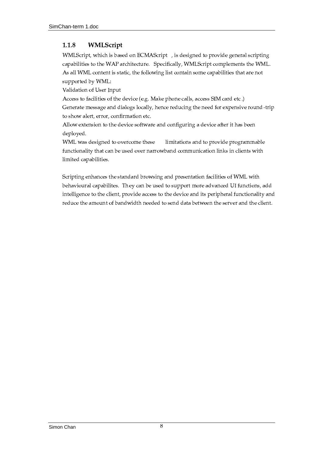#### 1.1.8 WMLScript

WMLScript, which is based on ECMAScript , is designed to provide general scripting capabilities to the WAP architecture. Specifically, WMLScript complements the WML. As all WML content is static, the following list contain some capabilities that are not supported by WML:

Validation of User Input

Access to facilities of the device (e.g. Make phone calls, access SIM card etc.) Generate message and dialogs locally, hence reducing the need for expensive round-trip to show alert, error, confirmation etc.

Allow extension to the device software and configuring a device after it has been deployed.

WML was designed to overcome these limitations and to provide programmable functionality that can be used over narrowband communication links in clients with limited capabilities.

Scripting enhances the standard browsing and presentation facilities of WML with behavioural capabilites. They can be used to support more advanced UI functions, add intelligence to the client, provide access to the device and its peripheral functionality and reduce the amount of bandwidth needed to send data between the server and the client.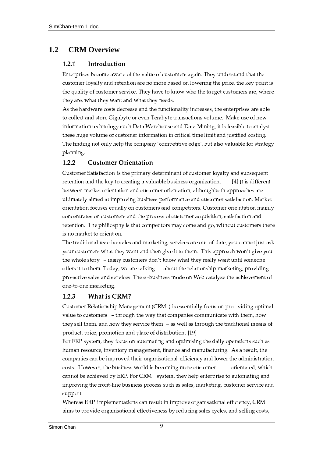#### $1.2$ **CRMOverview**

#### $1.2.1$ Introduction

Enterprises become aware of the value of customers again. They understand that the customer loyalty and retention are no more based on lowering the price, the key point is the quality of customer service. They have to know who the target customers are, where they are, what they want and what they needs.

As the hardware costs decrease and the functionality increases, the enterprises are able to collect and store Gigabyte or even Terabyte transactions volume. Make use of new information technology such Data Warehouse and Data Mining, it is feasible to analyst these huge volume of customer information in critical time limit and justified costing. The finding not only help the company 'competitive edge', but also valuable for strategy planning.

#### $1.2.2$ **Customer Orientation**

Customer Satisfaction is the primary determinant of customer loyalty and subsequent retention and the key to creating a valuable business organization. [4] It is different between market orientation and customer orientation, althoughboth approaches are ultimately aimed at improving business performance and customer satisfaction. Market orientation focuses equally on customers and competitors. Customer orie ntation mainly concentrates on customers and the process of customer acquisition, satisfaction and retention. The philiosphy is that competitors may come and go, without customers there is no market to orient on.

The traditional reactive sales and marketing, services are out-of-date, you cannot just ask your customers what they want and then give it to them. This approach won't give you the whole story – many customers don't know what they really want until someone about the relationship marketing, providing offers it to them. Today, we are talking pro-active sales and services. The e-business mode on Web catalyze the achievement of one-to-one marketing.

#### 1.2.3 **What is CRM?**

Customer Relationship Management (CRM) is essentially focus on pro viding optimal value to customers - through the way that companies communicate with them, how they sell them, and how they service them  $-$  as well as through the traditional means of product, price, promotion and place of distribution. [19]

For ERP system, they focus on automating and optimising the daily operations such as human resource, inventory management, finance and manufacturing. As a result, the companies can be improved their organisational efficiency and lower the administration costs. However, the business world is becoming more customer -orientated, which cannot be achieved by ERP. For CRM system, they help enterprise to automating and improving the front-line business process such as sales, marketing, customer service and support.

Whereas ERP implementations can result in improve organisational efficiency, CRM aims to provide organisational effectiveness by reducing sales cycles, and selling costs,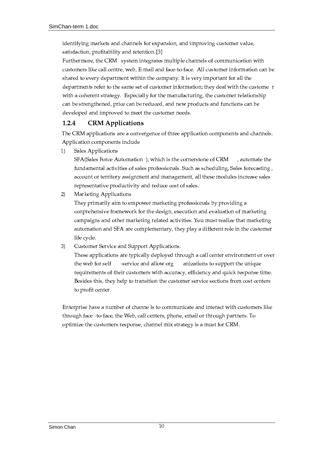identifying markets and channels for expansion, and improving customer value, satisfaction, profitability and retention.[3]

Furthermore, the CRM system integrates multiple channels of communication with customers like call centre, web, E-mail and face-to-face. All customer information can be shared to every department within the company. It is very important for all the departments refer to the same set of customer information; they deal with the custome r with a coherent strategy. Especially for the manufacturing, the customer relationship can be strengthened, price can be reduced, and new products and functions can be developed and improved to meet the customer needs.

#### $1.2.4$ **CRM** Applications

The CRM applications are a convergence of three application components and channels. Application components include

Sales Applications  $1)$ 

> SFA(Sales Force Automation), which is the cornerstone of CRM , automate the fundamental activities of sales professionals. Such as scheduling, Sales forecasting, account or territory assignment and management, all these modules increase sales representative productivity and reduce cost of sales.

 $2)$ Marketing Applications

> They primarily aim to empower marketing professionals by providing a conprehensive framework for the design, execution and evaluation of marketing campaigns and other marketing related activities. You must realize that marketing automation and SFA are complementary, they play a different role in the customer life cycle.

Customer Service and Support Applications.  $3)$ 

> These applications are typically deployed through a call center environment or over -service and allow org the web for self anizations to support the unique requirements of their customers with accuracy, efficiency and quick response time. Besides this, they help to transition the customer service sections from cost centers to profit center.

Enterprise have a number of channe ls to communicate and interact with customers like through face -to-face, the Web, call centers, phone, email or through partners. To optimize the customers response, channel mix strategy is a must for CRM.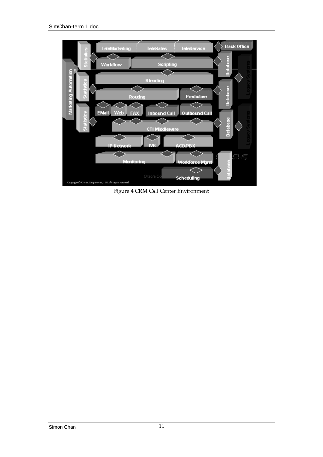

Figure 4 CRM Call Center Environment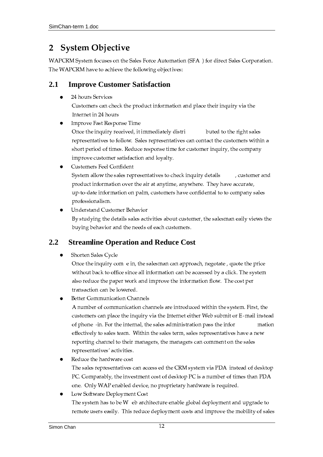#### **System Objective**  $\overline{2}$

WAPCRM System focuses on the Sales Force Automation (SFA ) for direct Sales Corporation. The WAPCRM have to achieve the following objectives:

#### $2.1$ **ImproveCustomerSatisfaction**

24 hours Services

Customers can check the product information and place their inquiry via the Internet in 24 hours

**Improve Fast Response Time** 

Once the inquiry received, it immediately distri buted to the right sales representatives to follow. Sales representatives can contact the customers within a short period of times. Reduce response time for customer inquiry, the company improve customer satisfaction and loyalty.

- **Customers Feel Confident** System allow the sales representatives to check inquiry details , customer and product information over the air at anytime, anywhere. They have accurate, up-to-date information on palm, customers have confidental to to company sales professionalism.
- Understand Customer Behavior By studying the details sales activities about customer, the salesman eaily views the buying behavior and the needs of each customers.

#### $2.2$ **Streamline Operation and Reduce Cost**

Shorten Sales Cycle

Once the inquiry com e in, the salesman can approach, negotate, quote the price without back to office since all information can be accessed by a click. The system also reduce the paper work and improve the information flow. The cost per transaction can be lowered.

**Better Communication Channels** 

A number of communication channels are introduced within the system. First, the customers can place the inquiry via the Internet either Web submit or E-mail instead of phone -in. For the internal, the sales administration pass the infor mation effectively to sales team. Within the sales term, sales representatives have a new reporting channel to their managers, the managers can comment on the sales representatives' activities.

- Reduce the hardware cost The sales representatives can access ed the CRM system via PDA instead of desktop PC. Comparably, the investment cost of desktop PC is a number of times than PDA one. Only WAP enabled device, no proprietary hardware is required.
- Low Software Deployment Cost The system has to be W eb architecture enable global deployment and upgrade to remote users easily. This reduce deployment costs and improve the mobility of sales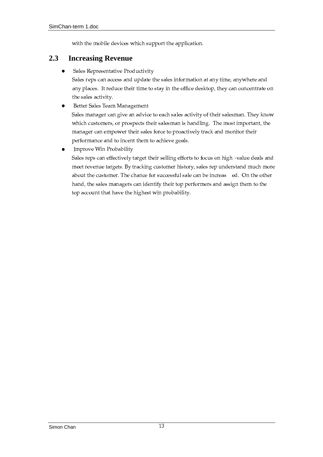with the mobile devices which support the application.

#### $2.3$ **IncreasingRevenue**

Sales Representative Productivity  $\bullet$ 

Sales reps can access and update the sales information at any time, anywhere and any places. It reduce their time to stay in the office desktop, they can concentrate on the sales activity.

Better Sales Team Management  $\bullet$ 

> Sales manager can give an advice to each sales activity of their salesman. They know which customers, or prospects their salesman is handling. The most important, the manager can empower their sales force to proactively track and monitor their performance and to incent them to achieve goals.

Improve Win Probability  $\bullet$ 

> Sales reps can effectively target their selling efforts to focus on high -value deals and meet revenue targets. By tracking customer history, sales rep understand much more about the customer. The chance for successful sale can be increas ed. On the other hand, the sales managers can identify their top performers and assign them to the top account that have the highest win probability.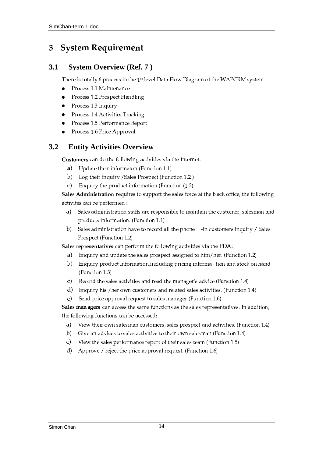#### **System Requirement** 3

#### $3.1$ **SystemOverview (Ref. 7)**

There is totally 6 process in the 1<sup>st</sup> level Data Flow Diagram of the WAPCRM system.

- Process 1.1 Maintenance  $\bullet$
- $\bullet$ Process 1.2 Prospect Handling
- Process 1.3 Inquiry  $\bullet$
- Process 1.4 Activities Tracking  $\bullet$
- Process 1.5 Performance Report
- Process 1.6 Price Approval  $\bullet$

#### $3.2$ **Entity Activities Overview**

Customers can do the following activities via the Internet:

- a) Update their informaton (Function 1.1)
- $b)$ Log their inquiry /Sales Prospect (Function 1.2)
- Enquiry the product information (Function  $(1.3)$ )  $\mathbf{C}$

Sales Administration requires to support the sales force at the back office, the following activites can be performed :

- Sales administration staffs are responsible to maintain the customer, salesman and a) products information. (Function 1.1)
- b) Sales administration have to record all the phone -in customers inquiry / Sales Prospect (Function 1.2)

Sales representatives can perform the following activities via the PDA:

- Enquiry and update the sales prospect assigned to him/her. (Function 1.2) a)
- b) Enquiry product Information, including pricing information and stock on hand (Function 1.3)
- Record the sales activities and read the manager's advice (Function 1.4)  $\mathbf{c}$
- d) Enquiry his /her own customers and related sales activities. (Function 1.4)
- e) Send price approval request to sales manager (Function 1.6)

Sales man agers can access the same functions as the sales representatives. In addition, the following functions can be accessed:

- $a)$ View their own salesman customers, sales prospect and activities. (Function 1.4)
- $b)$ Give an advices to sales activities to their own salesman (Function 1.4)
- c) View the sales performance report of their sales team (Function 1.5)
- d) Approve / reject the price approval request. (Function 1.6)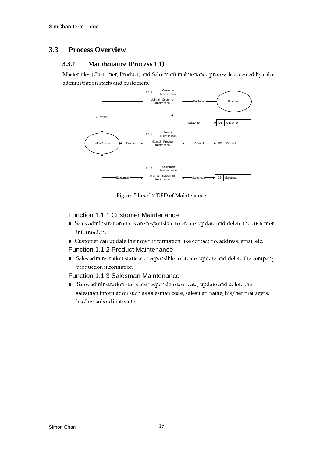#### $3.3$ **Process Overview**

#### $3.3.1$ Maintenance (Process 1.1)

Master files (Customer, Product, and Salesman) maintenance process is accessed by sales administration staffs and customers.



Figure 5 Level 2 DFD of Maintenance

### Function1.1.1CustomerMainten ance

- Sales adminstration staffs are responsible to create, update and delete the customer information.
- Customer can update their own information like contact no, address, email etc.

### Function1.1.2ProductMaintenance

• Sales adminstration staffs are responsible to create, update and delete the company production information

### Function1.1.3SalesmanMaintenance

Sales adminstration staffs are responsible to create, update and delete the  $\bullet$ salesman information such as salesman code, salesman name, his/her managers, his/her subordinates etc.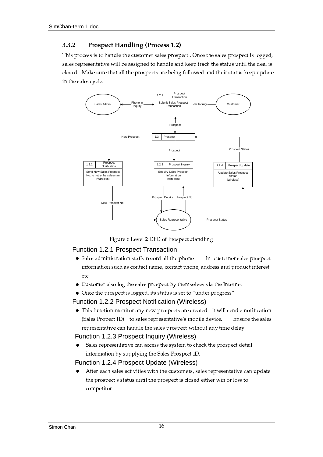#### $3.3.2$ **Prospect Handling (Process 1.2)**

This process is to handle the customer sales prospect . Once the sales prospect is logged, sales representative will be assigned to handle and keep track the status until the deal is closed. Make sure that all the prospects are being followed and their status keep update in the sales cycle.



Figure 6 Level 2 DFD of Prospect Handling

### Function1.2.1 ProspectTransaction

- Sales administration staffs record all the phone -in customer sales prospect information such as contact name, contact phone, address and product interest etc.
- Customer also log the sales prospect by themselves via the Internet
- Once the prospect is logged, its status is set to "under progress"

### Function1.2.2ProspectNotification(Wireless)

• This function monitor any new prospects are created. It will send a notification (Sales Propect ID) to sales representative's mobile device. Ensure the sales representative can handle the sales prospect without any time delay.

### Function1.2.3ProspectInguiry(Wireless)

Sales representative can access the system to check the prospect detail information by supplying the Sales Prospect ID.

### Function1.2.4P rospectUpdate(Wireless)

After each sales activities with the customers, sales representative can update the prospect's status until the prospect is closed either win or loss to competitor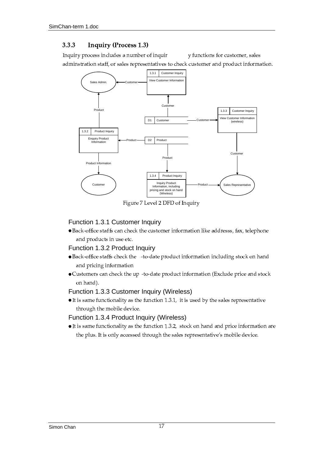#### 3.3.3 **Inquiry (Process 1.3)**

Inquiry process includes a number of inquir y functions for customer, sales adminstration staff, or sales representatives to check customer and product information.



Figure 7 Level 2 DFD of Inquiry

## Function1.3.1CustomerInquiry

· Back-office staffs can check the customer information like addresss, fax, telephone and products in use etc.

### Function1.3.2ProductInguiry

- Back-office staffs check the -to-date product information including stock on hand and pricing information
- Customers can check the up -to-date product information (Exclude price and stock on hand).

### Function1.3.3CustomerInquiry(Wireless)

 $\bullet$  It is same functionality as the function 1.3.1, it is used by the sales representative through the mobile device.

#### Function1.3.4ProductInguiry(Wi reless)

• It is same functionality as the function 1.3.2, stock on hand and price information are the plus. It is only accessed through the sales representative's mobile device.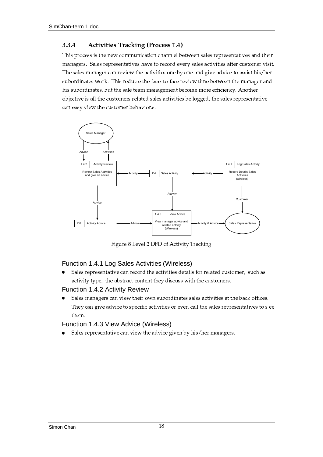#### 3.3.4 **Activities Tracking (Process 1.4)**

This process is the new communication chann el between sales representatives and their managers. Sales representatives have to record every sales activities after customer visit. The sales manager can review the activities one by one and give advice to assist his/her subordinates work. This reduc e the face-to-face review time between the manager and his subordinates, but the sale team management become more efficiency. Another objective is all the customers related sales activities be logged, the sales representative can easy view the customer behavior.s.



Figure 8 Level 2 DFD of Activity Tracking

#### Function1.4.1LogSalesActivities (Wireless)

Sales representative can record the activities details for related customer, such as  $\bullet$ activity type, the abstract content they discuss with the customers.

### Function1.4.2ActivityReview

Sales managers can view their own subordinates sales activities at the back offices.  $\bullet$ They can give advice to specific activities or even call the sales representatives to s ee them.

### Function1.4.3ViewAdvice(Wireless)

Sales representative can view the advice given by his/her managers.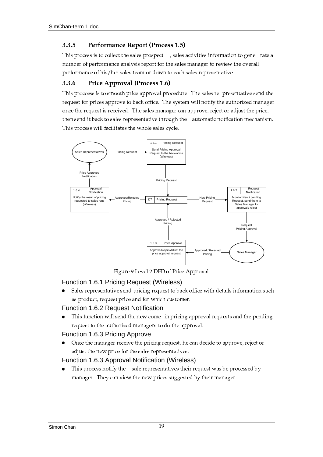#### 3.3.5 Performance Report (Process 1.5)

This process is to collect the sales prospect , sales activities information to gene rate a number of performance analysis report for the sales manager to review the overall performance of his/her sales team or down to each sales representative.

#### 3.3.6 Price Approval (Process 1.6)

This process is to smooth price approval procedure. The sales re presentative send the request for prices approve to back office. The system will notify the authorized manager once the request is received. The sales manager can approve, reject or adjust the price, then send it back to sales representative through the automatic notfication mechanism. This process will facilitates the whole sales cycle.



Figure 9 Level 2 DFD of Price Approval

### Function1.6.1 PricingRequest(Wireless)

Sales representative send pricing request to back office with details information such as product, request price and for which customer.

### Function1.6.2 RequestNotification

This function will send the new come -in pricing approval requests and the pending request to the authorized managers to do the approval.

### Function1.6.3 PricingApprove

Once the manager receive the pricing request, he can decide to approve, reject or  $\bullet$ adjust the new price for the sales representatives.

### Function1.6.3 ApprovalNotification(Wireless)

This process notify the sale representatives their request was be processed by  $\bullet$ manager. They can view the new prices suggested by their manager.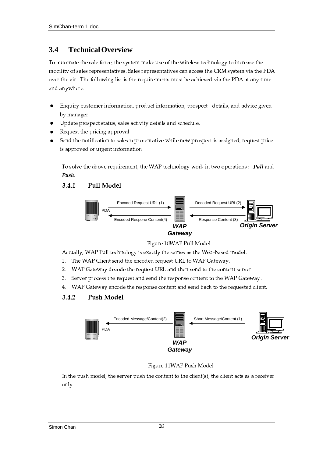# **3.4 Technical Overview**

To automate the sale force, the system make use of the wireless technology to increase the mobility of sales representatives. Sales representatives can access the CRM system via the PDA over the air. The following list is the requirements must be achieved via the PDA at any time and anvwhere.

- $\bullet$ Enquiry customer information, product information, prospect details, and advice given by manager.
- Update prospect status, sales activity details and schedule.
- Request the pricing approval
- Send the notification to sales representative while new prospect is assigned, request price is approved or urgent information

To solve the above requirement, the WAP technology work in two operations : Pull and Push.

#### $3.4.1$ ò2 @ðñ '



Figure 10WAP Pull Model

Actually, WAP Pull technology is exactly the sames as the Web-based model.

- 1. The WAP Client send the encoded request URL to WAP Gateway.
- 2. WAP Gateway decode the request URL and then send to the content server.
- 3. Server process the request and send the response content to the WAP Gateway.
- 4. WAP Gateway encode the response content and send back to the requested client.

#### $3.4.2$ Push Model



Figure 11WAP Push Mode

In the push model, the server push the content to the client(s), the client acts as a receiver only.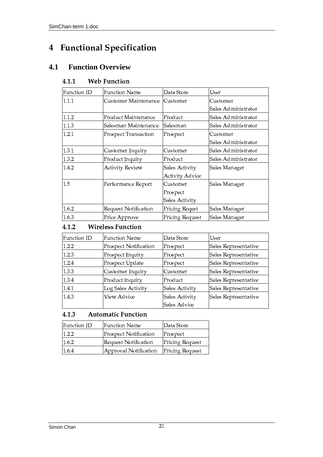### **Functional Specification**  $\boldsymbol{4}$

#### $4.1$ **FunctionOverview**

#### Web Function  $4.1.1$

| Function ID | <b>Function Name</b>        | Data Store             | User                 |
|-------------|-----------------------------|------------------------|----------------------|
| 1.1.1       | Customer Maintenance        | lCustomer              | lCustomer            |
|             |                             |                        | Sales Administrator  |
| 1.1.2       | Product Maintenance         | Product                | Sales Administrator  |
| 1.1.3       | Salesman Maintenance        | Salesman               | Sales Administrator  |
| 1.2.1       | Prospect Transaction        | Prospect               | lCustomer            |
|             |                             |                        | Sales Administrator  |
| 1.3.1       | Customer Inquiry            | Customer               | Sales Administrator  |
| 1.3.2       | Product Inquiry             | Product                | lSales Administrator |
| 1.4.2       | <b>Activity Review</b>      | Sales Activity         | Sales Manager        |
|             |                             | <b>Activity Advice</b> |                      |
| 1.5         | Performance Report          | Customer               | Sales Manager        |
|             |                             | Prospect               |                      |
|             |                             | Sales Activity         |                      |
| 1.6.2       | <b>Request Notification</b> | Pricing Reqest         | Sales Manager        |
| 1.6.3       | Price Approve               | Pricing Request        | Sales Manager        |

#### **Wireless Function**  $4.1.2$

| Function ID | <b>Function Name</b>         | Data Store     | User                 |
|-------------|------------------------------|----------------|----------------------|
| 1.2.2       | <b>Prospect Notification</b> | Prospect       | Sales Representative |
| 1.2.3       | Prospect Inquiry             | Prospect       | Sales Representative |
| 1.2.4       | Prospect Update              | Prospect       | Sales Representative |
| 1.3.3       | Customer Inquiry             | Customer       | Sales Representative |
| 1.3.4       | Product Inquiry              | Product        | Sales Representative |
| 1.4.1       | Log Sales Activity           | Sales Activity | Sales Representative |
| 1.4.3       | View Advice                  | Sales Activity | Sales Representative |
|             |                              | Sales Advice   |                      |

#### 4.1.3 **Automatic Function**

| <b>Function ID</b> | <b>Function Name</b>  | <b>Data Store</b> |
|--------------------|-----------------------|-------------------|
| 1.2.2              | Prospect Notification | Prospect          |
| 1.6.2              | Request Notification  | Pricing Request   |
| 1.6.4              | Approval Notification | Pricing Request   |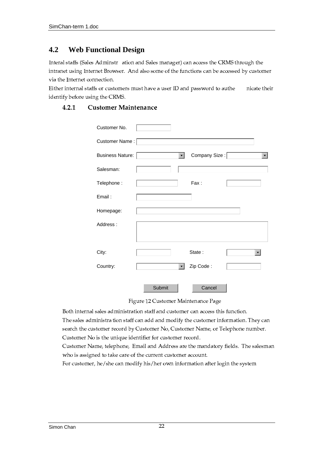#### $4.2$ WebFunctionalDesign

Interal staffs (Sales Adminstr ation and Sales manager) can access the CRMS through the intranet using Internet Browser. And also some of the functions can be accessed by customer via the Internet connection.

Either internal staffs or customers must have a user ID and password to authe nicate their identify before using the CRMS.

| CustomerNo.     |        |              |              |                      |
|-----------------|--------|--------------|--------------|----------------------|
| CustomerName:   |        |              |              |                      |
| BusinessNature: |        | $\mathbf{v}$ | CompanySize: | $\blacktriangledown$ |
| Salesman:       |        |              |              |                      |
| Telephone:      |        |              | Fax:         |                      |
| Email:          |        |              |              |                      |
| Homepage:       |        |              |              |                      |
| Address:        |        |              |              |                      |
| City:           |        |              | State:       | $\blacktriangledown$ |
| Country:        |        | $\mathbf{v}$ | ZipCode:     |                      |
|                 | Submit |              | Cancel       |                      |

Figure 12 Customer Maintenance Page

Both internal sales administration staff and customer can access this function.

The sales administration staff can add and modify the customer information. They can search the customer record by Customer No, Customer Name, or Telephone number. Customer No is the unique identifier for customer record.

Customer Name, telephone, Email and Address are the mandatory fields. The salesman who is assigned to take care of the current customer account.

For customer, he/she can modify his/her own information after login the system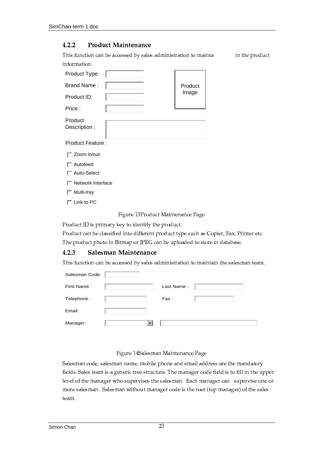#### $4.2.2$ **Product Maintenance**

This function can be accessed by sales administration to mainta in the product information.

| ProductType:            |         |
|-------------------------|---------|
| BrandName:              | Product |
| ProductID:              | Image   |
| Price:                  |         |
| Product<br>Description: |         |
| ProductFeature:         |         |

 $\Box$  Zoomin/out

 $\Box$  Autofeed

□ Auto-Select

 $\Box$  NetworkInterface

 $\Box$  Multi-tray

 $\Box$  LinktoPC

Figure 13Product Maintenance Page

Product ID is primary key to identify the product.

Product can be classified into different product type such as Copier, Fax, Printer etc. The product photo in Bitmap or JPEG can be uploaded to store in database.

#### $4.2.3$ Salesman Maintenance

This function can be accessed by sales administration to maintain the salesman team.

| SalesmanCode: |                         |           |  |
|---------------|-------------------------|-----------|--|
| FirstName:    |                         | LastName: |  |
| Telephone:    |                         | Fax:      |  |
| Email:        |                         |           |  |
| Manager:      | $\overline{\mathbf{v}}$ |           |  |

### Figure 14Salesman Maintenance Page

Salesman code, salesman name, mobile phone and email address are the mandatory fields. Sales team is a generic tree structure. The manager code field is to fill in the upper level of the manager who supervises the salesman. Each manager can supervise one or more salesman. Salesman without manager code is the root (top manager) of the sales team.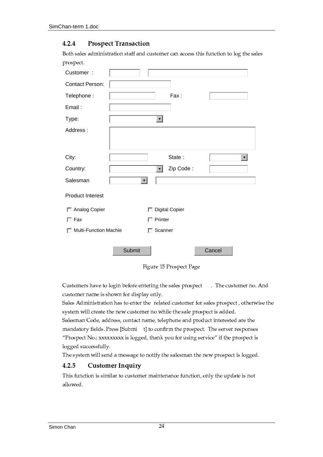#### 4.2.4 **Prospect Transaction**

Both sales administration staff and customer can access this function to log the sales prospect.

| Customer:                 |              |                      |               |                      |
|---------------------------|--------------|----------------------|---------------|----------------------|
| ContactPerson:            |              |                      |               |                      |
| Telephone:                |              |                      | Fax:          |                      |
| Email:                    |              |                      |               |                      |
| Type:                     |              | $\blacktriangledown$ |               |                      |
| Address:                  |              |                      |               |                      |
| City:                     |              |                      | State:        | $\blacktriangledown$ |
| Country:                  |              | $\blacktriangledown$ | ZipCode:      |                      |
| Salesman                  | $\mathbf{v}$ |                      |               |                      |
| ProductInterest           |              |                      |               |                      |
| AnalogCopier              |              | 匚                    | DigitalCopier |                      |
| Fax<br>П                  |              | $\Box$ Printer       |               |                      |
| Multi-FunctionMachie<br>г |              | Scanner<br>Г         |               |                      |
|                           | Submit       |                      |               | Cancel               |

Figure 15 Prospect Page

Customers have to login before entering the sales prospect . The customer no. And customer name is shown for display only.

Sales Administration has to enter the related customer for sales prospect, otherwise the system will create the new customer no while the sale prospect is added.

Salesman Code, address, contact name, telephone and product interested are the mandatory fields. Press [Submi t] to confirm the prospect. The server responses "Prospect No.: xxxxxxxxx is logged, thank you for using service" if the prospect is logged successfully.

The system will send a message to notify the salesman the new prospect is logged.

#### 4.2.5 **Customer Inquiry**

This function is similar to customer maintenance function, only the update is not allowed.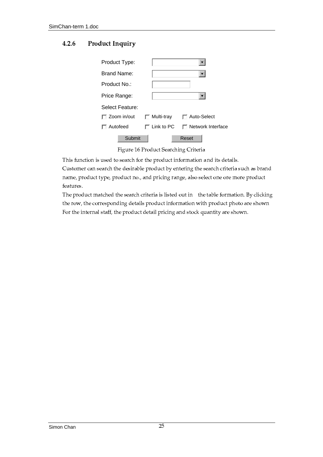#### $4.2.6$ **Product Inquiry**

| ProductType:      |                   |                         |
|-------------------|-------------------|-------------------------|
| BrandName:        |                   |                         |
| ProductNo.:       |                   |                         |
| PriceRange:       |                   | $\overline{\mathbf{v}}$ |
| SelectFeature:    |                   |                         |
| $\Box$ Zoomin/out | Multi-tray<br>I.  | $\Box$ Auto-Select      |
| $\Box$ Autofeed   | $\Gamma$ LinktoPC | 1 NetworkInterface      |
| Submit            |                   | Reset                   |

Figure 16 Product Searching Criteria

This function is used to search for the product information and its details. Customer can search the desirable product by entering the search criteria such as brand name, product type, product no., and pricing range, also select one ore more product features.

The product matched the search criteria is listed out in the table formation. By clicking the row, the corresponding details product information with product photo are shown For the internal staff, the product detail pricing and stock quantity are shown.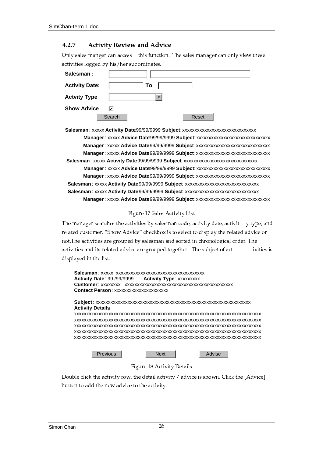#### 4.2.7 **Activity Review and Advice**

Only sales manger can access this function. The sales manager can only view these activities logged by his/her subordinates.

| Salesman:            |        |                      |       |  |
|----------------------|--------|----------------------|-------|--|
| <b>ActivityDate:</b> |        | To                   |       |  |
| <b>ActvityType</b>   |        | $\blacktriangledown$ |       |  |
| <b>ShowAdvice</b>    | ⊽      |                      |       |  |
|                      | Search |                      | Reset |  |

Salesman:xxxxx ActivityDate:99/99/9999 Subjectxxxxxxxxxxxxxxxxxxxxxxxxxxxxx Manager.xxxxx AdviceDate:99/99/9999 Subjectxxxxxxxxxxxxxxxxxxxxxxxxxxxxx Salesman:xxxxx ActivityDate:99/99/9999 Subjectxxxxxxxxxxxxxxxxxxxxxxxxxxxxx Manager.xxxxx AdviceDate:99/99/9999 Subjectxxxxxxxxxxxxxxxxxxxxxxxxxxxxxxx Salesman :xxxxx ActivityDate:99/99/9999 Subjectxxxxxxxxxxxxxxxxxxxxxxxxxxxxx Salesman:xxxxx ActivityDate:99/99/9999 Subjectxxxxxxxxxxxxxxxxxxxxxxxxxxxxx Manager.xxxxx AdviceDate:99/99/9999 Subject.xxxxxxxxxxxxxxxxxxxxxxxxxxxxxx

### Figure 17 Sales Activity List

The manager searches the activities by salesman code, activity date, activit y type, and related customer. "Show Advice" checkbox is to select to display the related advice or not. The activities are grouped by salesman and sorted in chronological order. The activities and its related advice are grouped together. The subject of act ivities is displayed in the list.

| ActivityDate: 99./99/9999 ActivityType: xxxxxxxxx |      |        |  |
|---------------------------------------------------|------|--------|--|
|                                                   |      |        |  |
| <b>ContactPerson</b> : xxxxxxxxxxxxxxxxxxxxx      |      |        |  |
|                                                   |      |        |  |
| <b>ActivityDetails:</b>                           |      |        |  |
|                                                   |      |        |  |
|                                                   |      |        |  |
|                                                   |      |        |  |
|                                                   |      |        |  |
|                                                   |      |        |  |
|                                                   |      |        |  |
|                                                   |      |        |  |
| Previous                                          | Next | Advise |  |

### Figure 18 Activity Details

Double click the activity row, the detail activity / advice is shown. Click the [Advice] button to add the new advice to the activity.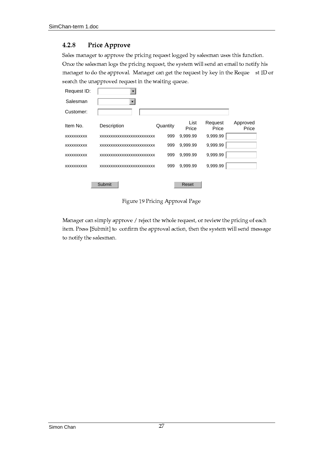#### 4.2.8 Price Approve

Sales manager to approve the pricing request logged by salesman uses this function. Once the salesman logs the pricing request, the system will send an email to notify his manager to do the approval. Manager can get the request by key in the Reque st ID or search the unapproved request in the waiting queue.

| RequestID:        | $\overline{\mathbf{v}}$   |          |               |                  |                   |
|-------------------|---------------------------|----------|---------------|------------------|-------------------|
| Salesman          | $\blacktriangledown$      |          |               |                  |                   |
| Customer:         |                           |          |               |                  |                   |
| ItemNo.           | Description               | Quantity | List<br>Price | Request<br>Price | Approved<br>Price |
| <b>XXXXXXXXXX</b> | XXXXXXXXXXXXXXXXXXXXXXXXX | 999      | 9,999.99      | 9,999.99         |                   |
| <b>XXXXXXXXXX</b> | XXXXXXXXXXXXXXXXXXXXXXXX  | 999      | 9,999.99      | 9,999.99         |                   |
| XXXXXXXXXX        | XXXXXXXXXXXXXXXXXXXXXXXXX | 999      | 9,999.99      | 9,999.99         |                   |
| XXXXXXXXXX        | XXXXXXXXXXXXXXXXXXXXXXXXX | 999      | 9,999.99      | 9,999.99         |                   |
|                   |                           |          |               |                  |                   |
|                   | Submit                    |          | Reset         |                  |                   |

Figure 19 Pricing Approval Page

Manager can simply approve / reject the whole request, or review the pricing of each item. Press [Submit] to confirm the approval action, then the system will send message to notify the salesman.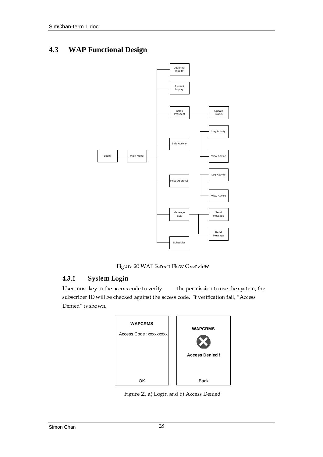#### **WAPFunctionalDesign** 4.3



Figure 20 WAP Screen Flow Overview

#### $4.3.1$ **System Login**

User must key in the access code to verify the permission to use the system, the subscriber ID will be checked against the access code. If verification fail, "Access Denied" is shown.

| <b>WAPCRMS</b>       | <b>WAPCRMS</b> |
|----------------------|----------------|
| AccessCode: xxxxxxxx | AccessDenied!  |
| ΟK                   | <b>Back</b>    |

Figure 21 a) Login and b) Access Denied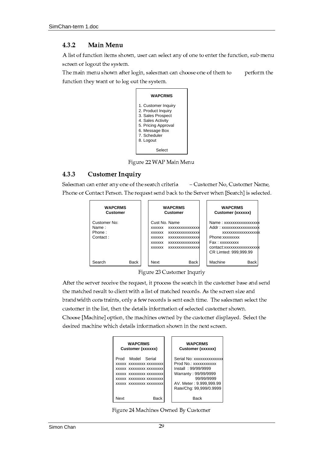#### $4.3.2$ **Main Menu**

A list of function items shown, user can select any of one to enter the function, sub-menu screen or logout the system.

The main menu shown after login, salesman can choose one of them to perform the function they want or to log out the system.



Figure 22 WAP Main Menu

#### 4.3.3 **Customer Inquiry**

Salesman can enter any one of the search criteria - Customer No, Customer Name, Phone or Contact Person. The request send back to the Server when [Search] is selected.

| <b>WAPCRMS</b><br>Customer                 | <b>WAPCRMS</b><br>Customer                                                                                                           | <b>WAPCRMS</b><br>Customer(xxxxxx)                                                                                                                         |
|--------------------------------------------|--------------------------------------------------------------------------------------------------------------------------------------|------------------------------------------------------------------------------------------------------------------------------------------------------------|
| CustomerNo:<br>Name:<br>Phone:<br>Contact: | CustNo.Name<br>XXXXXXXXXXXXXXXXXXXXX<br>XXXXXXXXXXXXXXXXXXXX<br>XXXXXXXXXXXXXXXXXXXX<br>XXXXXXXXXXXXXXXXXXXX<br>XXXXXXXXXXXXXXXXXXXX | Name:xxxxxxxxxxxxxxxx<br>Addr:xxxxxxxxxxxxxxxxx<br>XXXXXXXXXXXXXXXXX<br>Phone:xxxxxxxx<br>Fax:xxxxxxxxx<br>contact:xxxxxxxxxxxxxxx<br>CRLimted: 999.999.99 |
| SearchBack                                 | <b>NextBack</b>                                                                                                                      | <b>MachineBack</b>                                                                                                                                         |

Figure 23 Customer Inquriy

After the server receive the request, it process the search in the customer base and send the matched result to client with a list of matched records. As the screen size and brandwidth constraints, only a few records is sent each time. The salesman select the customer in the list, then the details information of selected customer shown. Choose [Machine] option, the machines owned by the customer displayed. Select the desired machine which details information shown in the next screen.

| <b>WAPCRMS</b><br>Customer(xxxxxx)                                                                                                      | <b>WAPCRMS</b><br>Customer(xxxxxx)                                                                                                                           |
|-----------------------------------------------------------------------------------------------------------------------------------------|--------------------------------------------------------------------------------------------------------------------------------------------------------------|
| ProdModelSerial<br>XXXXXXXXXXXXXXXXXXXX<br>XXXXXXXXXXXXXXXXXXXX<br>XXXXXXXXXXXXXXXXXXXX<br>XXXXXXXXXXXXXXXXXXXX<br>XXXXXXXXXXXXXXXXXXXX | SerialNo:xxxxxxxxxxxxx<br>ProdNo.:xxxxxxxxxxx<br>Install: 99/99/9999<br>Warranty:99/99/9999<br>99/99/9999<br>AV.Meter:9.999,999.99<br>Rate/Chg:99,999/0.9999 |
| <b>Back</b><br>Next                                                                                                                     | <b>Back</b>                                                                                                                                                  |

Figure 24 Machines Owned By Customer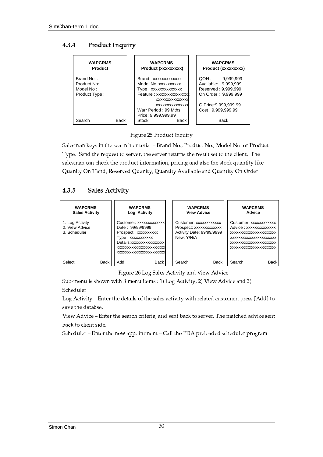#### 4.3.4 **Product Inquiry**

| <b>WAPCRMS</b><br>Product           | <b>WAPCRMS</b><br>Product(xxxxxxxxx)                                                                             | <b>WAPCRMS</b><br>Product(xxxxxxxxx)                                          |
|-------------------------------------|------------------------------------------------------------------------------------------------------------------|-------------------------------------------------------------------------------|
| BrandNo.:<br>ProductNo:<br>ModelNo: | Brand:xxxxxxxxxxxx<br>ModelNo:xxxxxxxxxx<br>Type:xxxxxxxxxxxxx<br>Feature:xxxxxxxxxxxxxx                         | QOH:9,999,999<br>Available: 9,999,999<br>Reserved: 9,999,999                  |
| ProductType:<br>SearchBack          | <b>XXXXXXXXXXXXXXX</b><br><b>XXXXXXXXXXXXXXX</b><br>WarrPeriod:99Mths<br>Price: 9,999,999.99<br><b>StockBack</b> | OnOrder:9,999,999<br>GPrice: 9,999,999.99<br>Cost:9,999,999.99<br><b>Back</b> |

Figure 25 Product Inquiry

Salesman keys in the sea rch criteria - Brand No., Product No., Model No. or Product Type. Send the request to server, the server returns the result set to the client. The salesman can check the product information, pricing and also the stock quantity like Quanity On Hand, Reserved Quanity, Quantity Available and Quantity On Order.

#### 4.3.5 **Sales Activity**

| <b>WAPCRMS</b><br><b>SalesActivity</b>           | <b>WAPCRMS</b><br>LogActivity                                                                                                                                         | <b>WAPCRMS</b><br><b>ViewAdvice</b>                                                   | <b>WAPCRMS</b><br>Advice                                                                                                                          |
|--------------------------------------------------|-----------------------------------------------------------------------------------------------------------------------------------------------------------------------|---------------------------------------------------------------------------------------|---------------------------------------------------------------------------------------------------------------------------------------------------|
| 1. Log Activity<br>2. View Advice<br>3.Scheduler | Customer:xxxxxxxxxxxxx<br>Date: 99/99/9999<br>Prospect:xxxxxxxxxx<br>Type:xxxxxxxxxxx<br>Details:xxxxxxxxxxxxxxx<br>XXXXXXXXXXXXXXXXXXXXXXX<br>XXXXXXXXXXXXXXXXXXXXXX | Customer:xxxxxxxxxxx<br>Prospect:xxxxxxxxxxxx<br>ActivityDate:99/99/9999<br>New:Y/N/A | Customer:xxxxxxxxxxxx<br>Advice:xxxxxxxxxxxxx<br>XXXXXXXXXXXXXXXXXXXXX<br>XXXXXXXXXXXXXXXXXXXXX<br>XXXXXXXXXXXXXXXXXXXXX<br>XXXXXXXXXXXXXXXXXXXXX |
| <b>SelectBack</b>                                | AddBack                                                                                                                                                               | SearchBack                                                                            | SearchBack                                                                                                                                        |

Figure 26 Log Sales Activity and View Advice

Sub-menu is shown with 3 menu items : 1) Log Activity, 2) View Advice and 3) Scheduler

Log Activity - Enter the details of the sales activity with related customer, press [Add] to save the databse.

View Advice - Enter the search criteria, and sent back to server. The matched advice sent back to client side.

Scheduler - Enter the new appointment - Call the PDA preloaded scheduler program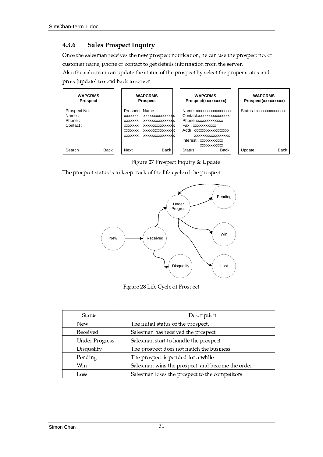#### 4.3.6 **Sales Prospect Inquiry**

Once the salesman receives the new prospect notification, he can use the prospect no. or customer name, phone or contact to get details information from the server.

Also the salesman can update the status of the prospect by select the proper status and press [update] to send back to server.



Figure 27 Prospect Inquiry & Update

The prospect status is to keep track of the life cycle of the prospect.



Figure 28 Life Cycle of Prospect

| Status                | Description                                      |
|-----------------------|--------------------------------------------------|
| <b>New</b>            | The initial status of the prospect.              |
| Received              | Salesman has received the prospect               |
| <b>Under Progress</b> | Salesman start to handle the prospect            |
| Disqualify            | The prospect does not match the business         |
| Pending               | The prospect is pended for a while               |
| Win                   | Salesman wins the prospect, and become the order |
| Loss                  | Salesman loses the prospect to the competitors   |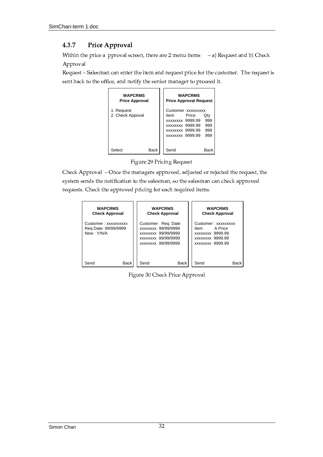#### 4.3.7 Price Approval

Within the price a pproval screen, there are  $2$  menu items  $-$ a) Request and b) Check Approval

Request - Salesman can enter the item and request price for the customer. The request is sent back to the office, and notify the senior manager to proceed it.

| <b>WAPCRMS</b><br>PriceApproval | <b>WAPCRMS</b><br><b>PriceApprovalRequest</b>                                                                                 |
|---------------------------------|-------------------------------------------------------------------------------------------------------------------------------|
| 1.Request<br>2.CheckAppoval     | Customer:xxxxxxxxx<br><b>ItemPriceQty</b><br>xxxxxxx9999.99999<br>xxxxxxx9999.99999<br>xxxxxxx9999.99999<br>xxxxxxx9999.99999 |
| SelectBack                      | SendBack                                                                                                                      |

Figure 29 Pricing Request

Check Approval - Once the managers approved, adjusted or rejected the request, the system sends the notification to the salesman, so the salesman can check approved requests. Check the approved pricing for each required items.

| <b>WAPCRMS</b><br>CheckApproval                        | <b>WAPCRMS</b><br>CheckApproval                                                                      | <b>WAPCRMS</b><br><b>CheckApproval</b>                                                         |
|--------------------------------------------------------|------------------------------------------------------------------------------------------------------|------------------------------------------------------------------------------------------------|
| Customer:xxxxxxxxxx<br>ReqDate:99/99/9999<br>New:Y/N/A | CustomerReg.Date<br>xxxxxxx99/99/9999<br>xxxxxxx99/99/9999<br>xxxxxxx99/99/9999<br>xxxxxxx99/99/9999 | Customer:xxxxxxxxx<br><b>ItemA</b> Price<br>xxxxxxx9999.99<br>xxxxxxx9999.99<br>xxxxxxx9999.99 |
| SendBack                                               | SendBack                                                                                             | SendBack                                                                                       |

Figure 30 Check Price Approval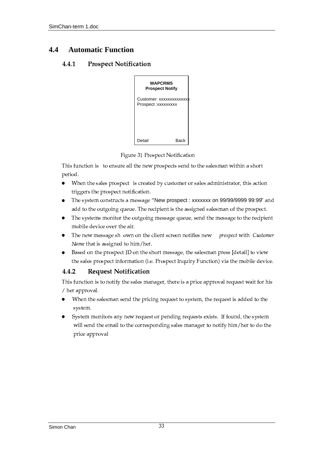#### 4.4 **AutomaticFunction**

#### 4.4.1 **Prospect Notification**



Figure 31 Prospect Notification

This function is to ensure all the new prospects send to the salesman within a short period.

- $\bullet$ When the sales prospect is created by customer or sales administrator, this action triggers the prospect notification.
- The system constructs a message "Newprospect:xxxxxxxon99/99/9999999:99  $''$  and  $\bullet$ add to the outgoing queue. The recipient is the assigned salesman of the prospect.
- The systems monitor the outgoing message queue, send the message to the recipient  $\bullet$ mobile device over the air.
- The new message shown on the client screen notifies new prospect with Customer Name that is assigned to him/her.
- Based on the prospect ID on the short message, the salesman press [detail] to view  $\bullet$ the sales prospect information (i.e. Prospect Inquiry Function) via the mobile device.

#### 4.4.2 **Request Notification**

This function is to notify the sales manager, there is a price approval request wait for his / her approval.

- When the salesman send the pricing request to system, the request is added to the system.
- System monitors any new request or pending requests exists. If found, the system will send the email to the corresponding sales manager to notify him/her to do the price approval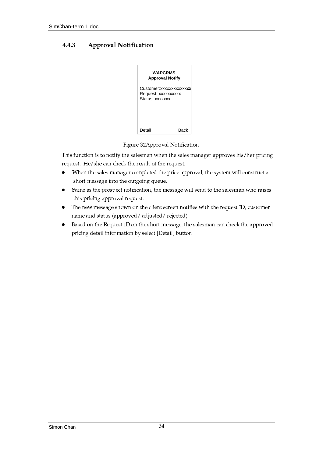#### 4.4.3 **Approval Notification**



Figure 32Approval Notification

This function is to notify the salesman when the sales manager approves his/her pricing request. He/she can check the result of the request.

- When the sales manager completed the price approval, the system will construct a  $\bullet$ short message into the outgoing queue.
- Same as the prospect notification, the message will send to the salesman who raises  $\bullet$ this pricing approval request.
- The new message shown on the client screen notifies with the request ID, customer  $\bullet$ name and status (approved / adjusted / rejected).
- Based on the Request ID on the short message, the salesman can check the approved  $\bullet$ pricing detail information by select [Detail] button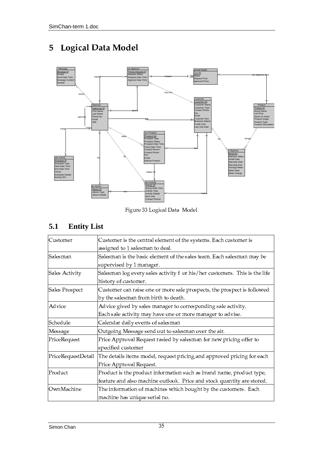# 5 Logical Data Model



Figure 33 Logical Data Model

# **5.1 Entity List**

| Customer           | Customer is the central element of the systems. Each customer is           |  |
|--------------------|----------------------------------------------------------------------------|--|
|                    | assigned to 1 salesman to deal.                                            |  |
| Salesman           | Salesman is the basic element of the sales team. Each salesman may be      |  |
|                    | supervised by 1 manager.                                                   |  |
| Sales Activity     | Salesman log every sales activity f or his/her customers. This is the life |  |
|                    | history of customer.                                                       |  |
| Sales Prospect     | Customer can raise one or more sale prospects, the prospect is followed    |  |
|                    | by the salesman from birth to death.                                       |  |
| Advice             | Advice gived by sales manager to corresponding sale activity.              |  |
|                    | Each sale activity may have one or more manager to advise.                 |  |
| Schedule           | Calendar daily events of salesman                                          |  |
| Message            | Outgoing Message send out to salesman over the air.                        |  |
| PriceRequest       | Price Approval Request rasied by salesman for new pricing offer to         |  |
|                    | specified customer                                                         |  |
| PriceRequestDetail | The details items model, request pricing, and approved pricing for each    |  |
|                    | Price Approval Request.                                                    |  |
| Product            | Product is the product information such as brand name, product type,       |  |
|                    | feature and also machine outlook. Price and stock quantity are stored.     |  |
| OwnMachine         | The information of machines which bought by the customers. Each            |  |
|                    | machine has unique serial no.                                              |  |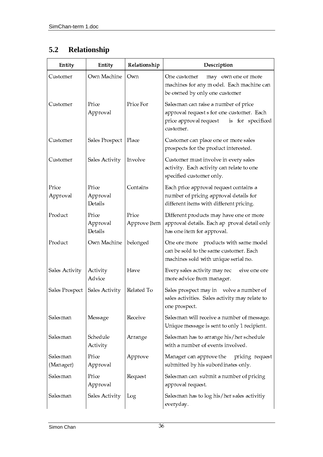#### Relationship  $5.2$

| Entity                | Entity                       | Relationship          | Description                                                                                                                                   |
|-----------------------|------------------------------|-----------------------|-----------------------------------------------------------------------------------------------------------------------------------------------|
| Customer              | Own Machine                  | Own                   | One customer<br>may own one or more<br>machines for any m odel. Each machine can<br>be owned by only one customer                             |
| Customer              | Price<br>Approval            | Price For             | Salesman can raise a number of price<br>approval request s for one customer. Each<br>price approval request<br>is for specificed<br>customer. |
| Customer              | Sales Prospect               | Place                 | Customer can place one or more sales<br>prospects for the product interested.                                                                 |
| Customer              | Sales Activity               | Involve               | Customer must involve in every sales<br>activity. Each activity can relate to one<br>specified customer only.                                 |
| Price<br>Approval     | Price<br>Approval<br>Details | Contains              | Each price approval request contains a<br>number of pricing approval details for<br>different items with different pricing.                   |
| Product               | Price<br>Approval<br>Details | Price<br>Approve Item | Different products may have one or more<br>approval details. Each ap proval detail only<br>has one item for approval.                         |
| Product               | Own Machine                  | belonged              | One ore more products with same model<br>can be sold to the same customer. Each<br>machines sold with unique serial no.                       |
| Sales Activity        | Activity<br>Advice           | Have                  | Every sales activity may rec<br>eive one ore<br>more advice from manager.                                                                     |
| Sales Prospect        | Sales Activity               | Related To            | Sales prospect may in volve a number of<br>sales activities. Sales activity may relate to<br>one prospect.                                    |
| Salesman              | Message                      | Receive               | Salesman will receive a number of message.<br>Unique message is sent to only 1 recipient.                                                     |
| Salesman              | Schedule<br>Activity         | Arrange               | Salesman has to arrange his/her schedule<br>with a number of events involved.                                                                 |
| Salesman<br>(Manager) | Price<br>Approval            | Approve               | Manager can approve the<br>pricing request<br>submitted by his subordinates only.                                                             |
| Salesman              | Price<br>Approval            | Request               | Salesman can submit a number of pricing<br>approval request.                                                                                  |
| Salesman              | Sales Activity               | Log                   | Salesman has to log his/her sales activitiy<br>everyday.                                                                                      |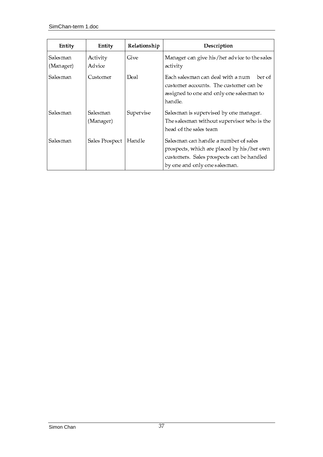| Entity                | Entity                | Relationship | Description                                                                                                                                                       |  |
|-----------------------|-----------------------|--------------|-------------------------------------------------------------------------------------------------------------------------------------------------------------------|--|
| Salesman<br>(Manager) | Activity<br>Advice    | Give         | Manager can give his/her advice to the sales<br>activity                                                                                                          |  |
| Salesman              | Customer              | Deal         | Each salesman can deal with a num<br>ber of<br>customer accounts. The customer can be<br>assigned to one and only one salesman to<br>handle.                      |  |
| Salesman              | Salesman<br>(Manager) | Supervise    | Salesman is supervised by one manager.<br>The salesman without supervisor who is the<br>head of the sales team                                                    |  |
| Salesman              | Sales Prospect        | Handle       | Salesman can handle a number of sales<br>prospects, which are placed by his/her own<br>customers. Sales prospects can be handled<br>by one and only one salesman. |  |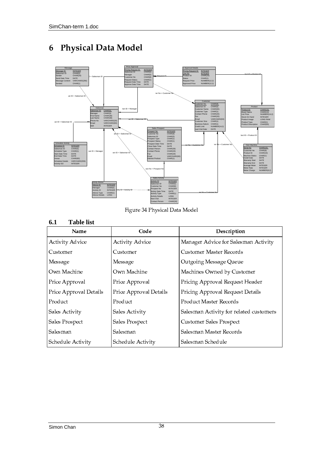# 6 Physical Data Model



Figure 34 Physical Data Model

# **6.1 Table list**

| Name                   | Code                   | Description                             |  |
|------------------------|------------------------|-----------------------------------------|--|
| <b>Activity Advice</b> | <b>Activity Advice</b> | Manager Advice for Salesman Activity    |  |
| Customer               | Customer               | Customer Master Records                 |  |
| Message                | Message                | Outgoing Message Queue                  |  |
| Own Machine            | Own Machine            | Machines Owned by Customer              |  |
| Price Approval         | Price Approval         | Pricing Approval Request Header         |  |
| Price Approval Details | Price Approval Details | Pricing Approval Request Details        |  |
| Product                | Product                | Product Master Records                  |  |
| Sales Activity         | Sales Activity         | Salesman Activity for related customers |  |
| Sales Prospect         | Sales Prospect         | Customer Sales Prospect                 |  |
| Salesman               | Salesman               | Salesman Master Records                 |  |
| Schedule Activity      | Schedule Activity      | Salesman Schedule                       |  |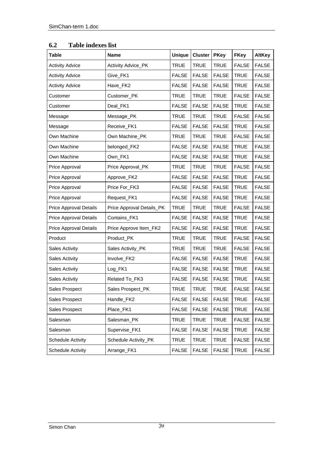| <b>Table</b>         | <b>Name</b>             | <b>Unique</b> | <b>Cluster</b> | <b>PKey</b>  | <b>FKey</b>  | <b>AltKey</b> |
|----------------------|-------------------------|---------------|----------------|--------------|--------------|---------------|
| ActivityAdvice       | ActivityAdvice_PK       | <b>TRUE</b>   | <b>TRUE</b>    | <b>TRUE</b>  | <b>FALSE</b> | <b>FALSE</b>  |
| ActivityAdvice       | Give_FK1                | <b>FALSE</b>  | <b>FALSE</b>   | <b>FALSE</b> | <b>TRUE</b>  | <b>FALSE</b>  |
| ActivityAdvice       | Have_FK2                | <b>FALSE</b>  | <b>FALSE</b>   | <b>FALSE</b> | <b>TRUE</b>  | <b>FALSE</b>  |
| Customer             | Customer_PK             | <b>TRUE</b>   | <b>TRUE</b>    | <b>TRUE</b>  | <b>FALSE</b> | <b>FALSE</b>  |
| Customer             | Deal_FK1                | <b>FALSE</b>  | <b>FALSE</b>   | <b>FALSE</b> | <b>TRUE</b>  | <b>FALSE</b>  |
| Message              | Message_PK              | <b>TRUE</b>   | <b>TRUE</b>    | <b>TRUE</b>  | <b>FALSE</b> | <b>FALSE</b>  |
| Message              | Receive_FK1             | <b>FALSE</b>  | <b>FALSE</b>   | <b>FALSE</b> | <b>TRUE</b>  | <b>FALSE</b>  |
| OwnMachine           | OwnMachine_PK           | <b>TRUE</b>   | <b>TRUE</b>    | <b>TRUE</b>  | <b>FALSE</b> | <b>FALSE</b>  |
| OwnMachine           | belonged_FK2            | <b>FALSE</b>  | <b>FALSE</b>   | <b>FALSE</b> | <b>TRUE</b>  | <b>FALSE</b>  |
| OwnMachine           | Own_FK1                 | <b>FALSE</b>  | <b>FALSE</b>   | <b>FALSE</b> | <b>TRUE</b>  | <b>FALSE</b>  |
| PriceApproval        | PriceApproval_PK        | <b>TRUE</b>   | <b>TRUE</b>    | <b>TRUE</b>  | <b>FALSE</b> | <b>FALSE</b>  |
| PriceApproval        | Approve_FK2             | <b>FALSE</b>  | <b>FALSE</b>   | <b>FALSE</b> | <b>TRUE</b>  | <b>FALSE</b>  |
| PriceApproval        | PriceFor_FK3            | <b>FALSE</b>  | <b>FALSE</b>   | <b>FALSE</b> | <b>TRUE</b>  | <b>FALSE</b>  |
| PriceApproval        | Request_FK1             | <b>FALSE</b>  | <b>FALSE</b>   | <b>FALSE</b> | <b>TRUE</b>  | <b>FALSE</b>  |
| PriceApprovalDetails | PriceApprovalDetails_PK | <b>TRUE</b>   | <b>TRUE</b>    | <b>TRUE</b>  | <b>FALSE</b> | <b>FALSE</b>  |
| PriceApprovalDetails | Contains_FK1            | <b>FALSE</b>  | <b>FALSE</b>   | <b>FALSE</b> | <b>TRUE</b>  | <b>FALSE</b>  |
| PriceApprovalDetails | PriceApproveItem_FK2    | <b>FALSE</b>  | <b>FALSE</b>   | <b>FALSE</b> | <b>TRUE</b>  | <b>FALSE</b>  |
| Product              | Product_PK              | <b>TRUE</b>   | <b>TRUE</b>    | <b>TRUE</b>  | <b>FALSE</b> | <b>FALSE</b>  |
| SalesActivity        | SalesActivity_PK        | <b>TRUE</b>   | <b>TRUE</b>    | <b>TRUE</b>  | <b>FALSE</b> | <b>FALSE</b>  |
| SalesActivity        | Involve_FK2             | <b>FALSE</b>  | <b>FALSE</b>   | <b>FALSE</b> | <b>TRUE</b>  | <b>FALSE</b>  |
| SalesActivity        | Log_FK1                 | <b>FALSE</b>  | <b>FALSE</b>   | <b>FALSE</b> | <b>TRUE</b>  | <b>FALSE</b>  |
| SalesActivity        | RelatedTo_FK3           | <b>FALSE</b>  | <b>FALSE</b>   | <b>FALSE</b> | <b>TRUE</b>  | <b>FALSE</b>  |
| SalesProspect        | SalesProspect_PK        | <b>TRUE</b>   | <b>TRUE</b>    | <b>TRUE</b>  | <b>FALSE</b> | <b>FALSE</b>  |
| SalesProspect        | Handle_FK2              | <b>FALSE</b>  | <b>FALSE</b>   | <b>FALSE</b> | <b>TRUE</b>  | <b>FALSE</b>  |
| SalesProspect        | Place_FK1               | <b>FALSE</b>  | <b>FALSE</b>   | <b>FALSE</b> | <b>TRUE</b>  | <b>FALSE</b>  |
| Salesman             | Salesman_PK             | <b>TRUE</b>   | <b>TRUE</b>    | <b>TRUE</b>  | <b>FALSE</b> | <b>FALSE</b>  |
| Salesman             | Supervise_FK1           | <b>FALSE</b>  | <b>FALSE</b>   | <b>FALSE</b> | <b>TRUE</b>  | <b>FALSE</b>  |
| ScheduleActivity     | ScheduleActivity_PK     | <b>TRUE</b>   | <b>TRUE</b>    | <b>TRUE</b>  | <b>FALSE</b> | <b>FALSE</b>  |
| ScheduleActivity     | Arrange_FK1             | <b>FALSE</b>  | <b>FALSE</b>   | <b>FALSE</b> | <b>TRUE</b>  | <b>FALSE</b>  |

# **6.2 Table indexes list**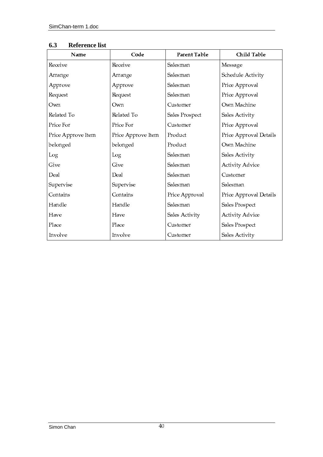| Name               | Code               | Parent Table   | Child Table            |
|--------------------|--------------------|----------------|------------------------|
| Receive            | Receive            | Salesman       | Message                |
| Arrange            | Arrange            | Salesman       | Schedule Activity      |
| Approve            | Approve            | Salesman       | Price Approval         |
| Request            | Request            | Salesman       | Price Approval         |
| Own                | Own                | Customer       | Own Machine            |
| Related To         | Related To         | Sales Prospect | Sales Activity         |
| Price For          | Price For          | Customer       | Price Approval         |
| Price Approve Item | Price Approve Item | Product        | Price Approval Details |
| belonged           | belonged           | Product        | Own Machine            |
| Log                | Log                | Salesman       | Sales Activity         |
| Give               | Give               | Salesman       | <b>Activity Advice</b> |
| Deal               | Deal               | Salesman       | Customer               |
| Supervise          | Supervise          | Salesman       | Salesman               |
| Contains           | Contains           | Price Approval | Price Approval Details |
| Handle             | Handle             | Salesman       | Sales Prospect         |
| Have               | Have               | Sales Activity | <b>Activity Advice</b> |
| Place              | Place              | Customer       | Sales Prospect         |
| Involve            | Involve            | Customer       | Sales Activity         |

# **6.3 Reference list**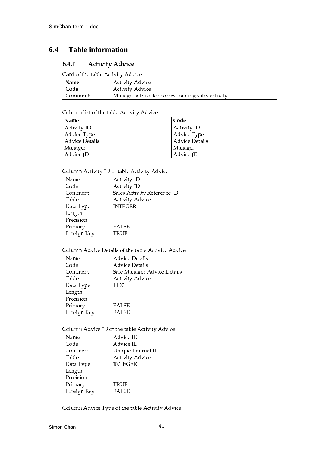#### 6.4 **Tableinformation**

#### **Activity Advice**  $6.4.1$

Card of the table Activity Advice

| <b>Name</b> | <b>Activity Advice</b>                          |
|-------------|-------------------------------------------------|
| Code        | <b>Activity Advice</b>                          |
| Comment     | Manager advise for corresponding sales activity |

## Column list of the table Activity Advice

| Name                  | Code           |
|-----------------------|----------------|
| Activity ID           | Activity ID    |
| Advice Type           | Advice Type    |
| <b>Advice Details</b> | Advice Details |
| Manager               | Manager        |
| Advice ID             | Advice ID      |

# Column Activity ID of table Activity Advice

| Name        | <b>Activity ID</b>          |
|-------------|-----------------------------|
| Code        | Activity ID                 |
| Comment     | Sales Activity Reference ID |
| Table       | <b>Activity Advice</b>      |
| Data Type   | <b>INTEGER</b>              |
| Length      |                             |
| Precision   |                             |
| Primary     | FALSE                       |
| Foreign Key | TRUE                        |

# Column Advice Details of the table Activity Advice

| Name        | Advice Details              |
|-------------|-----------------------------|
| Code        | <b>Advice Details</b>       |
| Comment     | Sale Manager Advice Details |
| Table       | <b>Activity Advice</b>      |
| Data Type   | TEXT                        |
| Length      |                             |
| Precision   |                             |
| Primary     | <b>FALSE</b>                |
| Foreign Key | <b>FALSE</b>                |

# Column Advice ID of the table Activity Advice

| Name        | Advice ID              |
|-------------|------------------------|
| Code        | Advice ID              |
| Comment     | Unique Internal ID     |
| Table       | <b>Activity Advice</b> |
| Data Type   | <b>INTEGER</b>         |
| Length      |                        |
| Precision   |                        |
| Primary     | TRUE                   |
| Foreign Key | <b>FALSE</b>           |

Column Advice Type of the table Activity Advice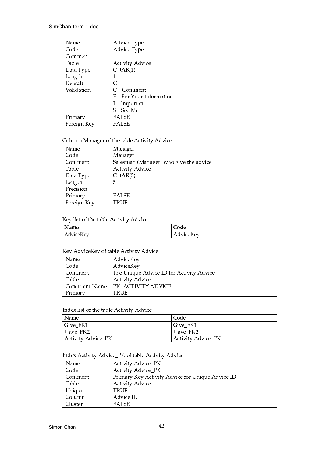| Name        | Advice Type                |
|-------------|----------------------------|
| Code        | Advice Type                |
| Comment     |                            |
| Table       | <b>Activity Advice</b>     |
| Data Type   | CHAR(1)                    |
| Length      |                            |
| Default     | C                          |
| Validation  | $C$ – Comment              |
|             | $F$ – For Your Information |
|             | I - Important              |
|             | S – See Me                 |
| Primary     | <b>FALSE</b>               |
| Foreign Key | <b>FALSE</b>               |

# Column Manager of the table Activity Advice

| Name        | Manager                                |
|-------------|----------------------------------------|
| Code        | Manager                                |
| Comment     | Salesman (Manager) who give the advice |
| Table       | <b>Activity Advice</b>                 |
| Data Type   | CHAR(5)                                |
| Length      | 5                                      |
| Precision   |                                        |
| Primary     | <b>FALSE</b>                           |
| Foreign Key | TRUE                                   |

### Key list of the table Activity Advice

| Name             | $\sim$<br>Code              |
|------------------|-----------------------------|
| $-$<br>AdviceKey | $ -$<br>™iceKev<br>Advicel. |

### Key AdviceKey of table Activity Advice

| Name            | AdviceKey                                |
|-----------------|------------------------------------------|
| Code            | AdviceKey                                |
| Comment         | The Unique Advice ID for Activity Advice |
| Table           | <b>Activity Advice</b>                   |
| Constraint Name | PK ACTIVITY ADVICE                       |
| Primary         | TRUE                                     |

## Index list of the table Activity Advice

| Name               | Code               |
|--------------------|--------------------|
| Give_FK1           | Give FK1           |
| Have FK2           | Have FK2           |
| Activity Advice_PK | Activity Advice_PK |

# Index Activity Advice\_PK of table Activity Advice

| Name    | Activity Advice_PK                               |
|---------|--------------------------------------------------|
| Code    | Activity Advice_PK                               |
| Comment | Primary Key Activity Advice for Unique Advice ID |
| Table   | <b>Activity Advice</b>                           |
| Unique  | TRUE                                             |
| Column  | Advice ID                                        |
| Cluster | <b>FALSE</b>                                     |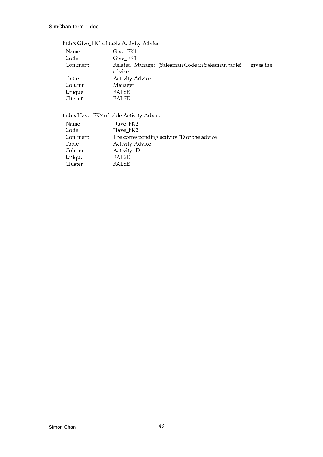| Name    | Give FK1                                                       |
|---------|----------------------------------------------------------------|
| Code    | Give FK1                                                       |
| Comment | Related Manager (Salesman Code in Salesman table)<br>gives the |
|         | advice                                                         |
| Table   | <b>Activity Advice</b>                                         |
| Column  | Manager                                                        |
| Unique  | <b>FALSE</b>                                                   |
| Cluster | <b>FALSE</b>                                                   |

# Index Give\_FK1 of table Activity Advice

# Index Have\_FK2 of table Activity Advice

| Name    | Have_FK2                                    |
|---------|---------------------------------------------|
| Code    | Have FK2                                    |
| Comment | The corresponding activity ID of the advice |
| Table   | <b>Activity Advice</b>                      |
| Column  | Activity ID                                 |
| Unique  | FALSE                                       |
| Cluster | <b>FALSE</b>                                |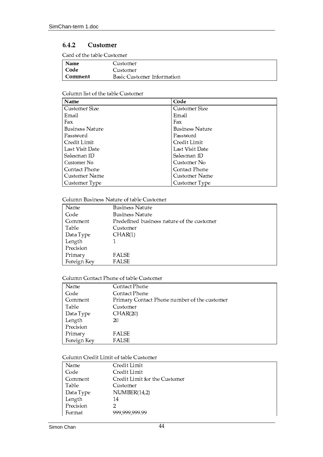#### $6.4.2$ Customer

Card of the table Customer

| Name    | Customer                   |
|---------|----------------------------|
| Code    | Customer                   |
| Comment | Basic Customer Information |

# Column list of the table Customer

| Name                   | Code                   |
|------------------------|------------------------|
| Customer Size          | Customer Size          |
| Email                  | Email                  |
| Fax                    | Fax                    |
| <b>Business Nature</b> | <b>Business Nature</b> |
| Password               | Password               |
| Credit Limit           | Credit Limit           |
| Last Visit Date        | Last Visit Date        |
| Salesman ID            | Salesman ID            |
| CustomerNo             | Customer No            |
| Contact Phone          | Contact Phone          |
| Customer Name          | Customer Name          |
| Customer Type          | Customer Type          |

# Column Business Nature of table Customer

| Name        | <b>Business Nature</b>                     |
|-------------|--------------------------------------------|
| Code        | <b>Business Nature</b>                     |
| Comment     | Predefined business nature of the customer |
| Table       | Customer                                   |
| Data Type   | CHAR(1)                                    |
| Length      |                                            |
| Precision   |                                            |
| Primary     | FALSE                                      |
| Foreign Key | <b>FALSE</b>                               |

# Column Contact Phone of table Customer

| Name        | Contact Phone                                |
|-------------|----------------------------------------------|
| Code        | Contact Phone                                |
| Comment     | Primary Contact Phone number of the customer |
| Table       | Customer                                     |
| Data Type   | CHAR(20)                                     |
| Length      | 20                                           |
| Precision   |                                              |
| Primary     | <b>FALSE</b>                                 |
| Foreign Key | <b>FALSE</b>                                 |

# Column Credit Limit of table Customer

| Name      | Credit Limit                  |
|-----------|-------------------------------|
| Code      | Credit Limit                  |
| Comment   | Credit Limit for the Customer |
| Table     | Customer                      |
| Data Type | NUMBER(14,2)                  |
| Length    | 14                            |
| Precision | $\overline{2}$                |
| Format    | 999,999,999.99                |
|           |                               |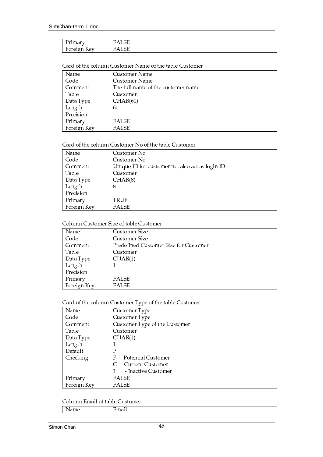Card of the column Customer Name of the table Customer

| Name        | Customer Name                      |  |
|-------------|------------------------------------|--|
| Code        | Customer Name                      |  |
| Comment     | The full name of the customer name |  |
| Table       | Customer                           |  |
| Data Type   | CHAR(60)                           |  |
| Length      | 60                                 |  |
| Precision   |                                    |  |
| Primary     | <b>FALSE</b>                       |  |
| Foreign Key | <b>FALSE</b>                       |  |

Card of the column Customer No of the table Customer

| Name        | Customer No                                     |  |
|-------------|-------------------------------------------------|--|
| Code        | Customer No                                     |  |
| Comment     | Unique ID for customer no, also act as login ID |  |
| Table       | Customer                                        |  |
| Data Type   | CHAR(8)                                         |  |
| Length      | 8                                               |  |
| Precision   |                                                 |  |
| Primary     | TRUE                                            |  |
| Foreign Key | <b>FALSE</b>                                    |  |

# Column Customer Size of table Customer

| Name        | Customer Size                         |
|-------------|---------------------------------------|
| Code        | Customer Size                         |
| Comment     | Predefined Customer Size for Customer |
| Table       | Customer                              |
| Data Type   | CHAR(1)                               |
| Length      |                                       |
| Precision   |                                       |
| Primary     | FALSE                                 |
| Foreign Key | <b>FALSE</b>                          |

## Card of the column Customer Type of the table Customer

|             | ノエ                            |
|-------------|-------------------------------|
| Name        | Customer Type                 |
| Code        | Customer Type                 |
| Comment     | Customer Type of the Customer |
| Table       | Customer                      |
| Data Type   | CHAR(1)                       |
| Length      |                               |
| Default     | Р                             |
| Checking    | P - Potential Customer        |
|             | C - Current Customer          |
|             | - Inactive Customer           |
| Primary     | FALSE                         |
| Foreign Key | <b>FALSE</b>                  |

Column Email of table Customer

Name Email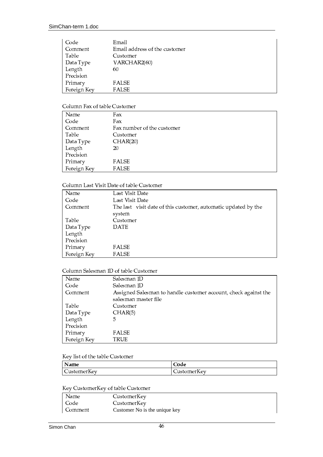| Code        | Email                         |  |
|-------------|-------------------------------|--|
| Comment     | Email address of the customer |  |
| Table       | Customer                      |  |
| Data Type   | VARCHAR2(60)                  |  |
| Length      | 60                            |  |
| Precision   |                               |  |
| Primary     | <b>FALSE</b>                  |  |
| Foreign Key | <b>FALSE</b>                  |  |

# Column Fax of table Customer

| Name        | Fax                        |  |
|-------------|----------------------------|--|
| Code        | Fax                        |  |
| Comment     | Fax number of the customer |  |
| Table       | Customer                   |  |
| Data Type   | CHAR(20)                   |  |
| Length      | 20                         |  |
| Precision   |                            |  |
| Primary     | <b>FALSE</b>               |  |
| Foreign Key | <b>FALSE</b>               |  |

# Column Last Visit Date of table Customer

| Name        | Last Visit Date                                                |  |
|-------------|----------------------------------------------------------------|--|
| Code        | Last Visit Date                                                |  |
| Comment     | The last visit date of this customer, automatic updated by the |  |
|             | system                                                         |  |
| Table       | Customer                                                       |  |
| Data Type   | DATE                                                           |  |
| Length      |                                                                |  |
| Precision   |                                                                |  |
| Primary     | FALSE                                                          |  |
| Foreign Key | <b>FALSE</b>                                                   |  |

# Column Salesman ID of table Customer

| Name        | Salesman ID                                                     |
|-------------|-----------------------------------------------------------------|
| Code        | Salesman ID                                                     |
| Comment     | Assigned Salesman to handle customer account, check against the |
|             | salesman master file                                            |
| Table       | Customer                                                        |
| Data Type   | CHAR(5)                                                         |
| Length      | 5                                                               |
| Precision   |                                                                 |
| Primary     | FALSE                                                           |
| Foreign Key | TRUE                                                            |

### Key list of the table Customer

| Name                      | $\sim$ $\sim$<br>Code |
|---------------------------|-----------------------|
| TZ.<br><b>CustomerKey</b> | CustomerKey           |

# Key CustomerKey of table Customer

| Name    | CustomerKey              |  |
|---------|--------------------------|--|
| Code    | CustomerKey              |  |
| Comment | CustomerNoistheuniquekey |  |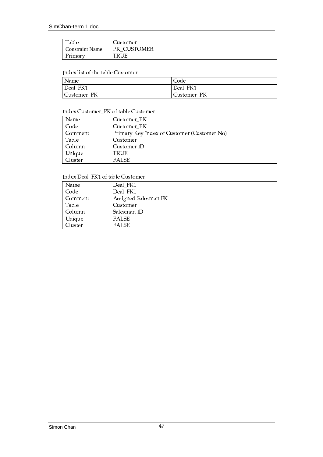| Table          | Customer    |
|----------------|-------------|
| ConstraintName | PK CUSTOMER |
| Primary        | TRUE        |

#### Index list of the table Customer

| Name        | Code        |
|-------------|-------------|
| Deal_FK1    | Deal_FK1    |
| Customer_PK | Customer_PK |

# Index Customer\_PK of table Customer

| Name    | Customer PK                                 |
|---------|---------------------------------------------|
| Code    | Customer PK                                 |
| Comment | Primary Key Index of Customer (Customer No) |
| Table   | Customer                                    |
| Column  | Customer ID                                 |
| Unique  | TRUE                                        |
| Cluster | <b>FALSE</b>                                |

#### Index Deal\_FK1 of table Customer

| Name    | Deal_FK1             |
|---------|----------------------|
| Code    | Deal FK1             |
| Comment | Assigned Salesman FK |
| Table   | Customer             |
| Column  | Salesman ID          |
| Unique  | FALSE                |
| Cluster | FALSE                |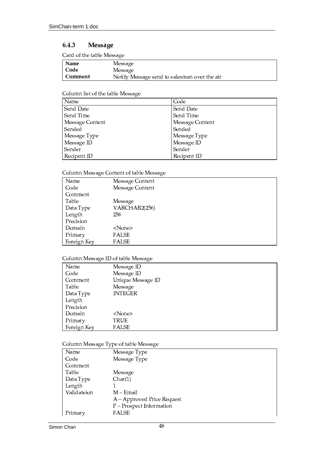#### 6.4.3 **Message**

Card of the table Message

| Name    | Message                                      |
|---------|----------------------------------------------|
| Code    | Message                                      |
| Comment | Notify Message send to salesman over the air |

### Column list of the table Message

| Name            | Code            |
|-----------------|-----------------|
| Send Date       | Send Date       |
| Send Time       | Send Time       |
| Message Content | Message Content |
| Sended          | Sended          |
| Message Type    | Message Type    |
| Message ID      | Message ID      |
| Sender          | Sender          |
| Recipent ID     | Recipent ID     |

# Column Message Content of table Message

| Name        | Message Content |
|-------------|-----------------|
| Code        | Message Content |
| Comment     |                 |
| Table       | Message         |
| Data Type   | VARCHAR2(256)   |
| Length      | 256             |
| Precision   |                 |
| Domain      | $<$ None $>$    |
| Primary     | <b>FALSE</b>    |
| Foreign Key | <b>FALSE</b>    |

# Column Message ID of table Message

| $\tilde{}$  | $\tilde{}$        |  |
|-------------|-------------------|--|
| Name        | Message ID        |  |
| Code        | Message ID        |  |
| Comment     | Unique Message ID |  |
| Table       | Message           |  |
| Data Type   | <b>INTEGER</b>    |  |
| Length      |                   |  |
| Precision   |                   |  |
| Domain      | $<$ None $>$      |  |
| Primary     | TRUE              |  |
| Foreign Key | <b>FALSE</b>      |  |

# Column Message Type of table Message

|             | $\cdot$<br><i>.</i> .<br>$\cdot$ |
|-------------|----------------------------------|
| Name        | Message Type                     |
| Code        | Message Type                     |
| Comment     |                                  |
| Table       | Message                          |
| Data Type   | Char(1)                          |
| Length      |                                  |
| Validateion | M – Email                        |
|             | A – Approved Price Request       |
|             | P - Prospect Information         |
| Primary     | FALSE                            |
|             |                                  |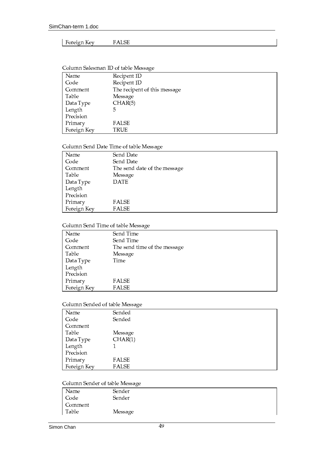### | Foreign Key FALSE

### Ù¹¿I¸ ±¸º ´Ãi¸½8¶ l<sup>Ü</sup> °7¼&È&¸ ±¸º ´Ãi¸½8¶ l<sup>Ü</sup> Comment The recipent of this message Table Message Data Type CHAR(5) Length 5 Precision Primary **FALSE** Foreign Key TRUE

#### Column Salesman ID of table Message

### Column Send Date Time of table Message

| Name        | Send Date                    |
|-------------|------------------------------|
| Code        | Send Date                    |
| Comment     | The send date of the message |
| Table       | Message                      |
| Data Type   | <b>DATE</b>                  |
| Length      |                              |
| Precision   |                              |
| Primary     | <b>FALSE</b>                 |
| Foreign Key | <b>FALSE</b>                 |

# Column Send Time of table Message

| $\cdot$                      |
|------------------------------|
| Send Time                    |
| Send Time                    |
| The send time of the message |
| Message                      |
| Time                         |
|                              |
|                              |
| <b>FALSE</b>                 |
| <b>FALSE</b>                 |
|                              |

#### Column Sended of table Message

| Name        | Sended       |
|-------------|--------------|
| Code        | Sended       |
| Comment     |              |
| Table       | Message      |
| Data Type   | CHAR(1)      |
| Length      |              |
| Precision   |              |
| Primary     | <b>FALSE</b> |
| Foreign Key | <b>FALSE</b> |

# Column Sender of table Message

| Name    | Sender  |
|---------|---------|
| Code    | Sender  |
| Comment |         |
| Table   | Message |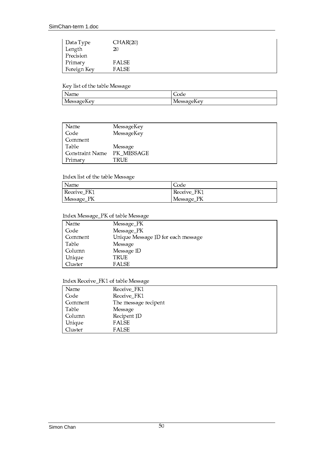| Data Type   | CHAR(20)     |  |
|-------------|--------------|--|
| Length      | 20           |  |
| Precision   |              |  |
| Primary     | <b>FALSE</b> |  |
| Foreign Key | FALSE        |  |

Key list of the table Message

| N<br>Name         | ∽<br>ില<br>uc |
|-------------------|---------------|
| - -               | $\sim$ $\sim$ |
| . .               | п.            |
| Messag            | $\Delta$ V    |
| $_{\rm \alpha v}$ | wessa         |
| ้นาง              | .             |

| Name                       | MessageKey |
|----------------------------|------------|
| Code                       | MessageKey |
| Comment                    |            |
| Table                      | Message    |
| Constraint Name PK_MESSAGE |            |
| Primary                    | TRUE       |

### Index list of the table Message

| <i>Name</i> | Code        |
|-------------|-------------|
| Receive FK1 | Receive FK1 |
| Message_PK  | Message_PK  |

# Index Message\_PK of table Message

| Name    | Message_PK                         |
|---------|------------------------------------|
| Code    | Message_PK                         |
| Comment | Unique Message ID for each message |
| Table   | Message                            |
| Column  | Message ID                         |
| Unique  | TRUE                               |
| Cluster | <b>FALSE</b>                       |

# Index Receive\_FK1 of table Message

| Name      | Receive_FK1          |
|-----------|----------------------|
| Code      | Receive_FK1          |
| l Comment | The message recipent |
| Table     | Message              |
| Column    | Recipent ID          |
| Unique    | <b>FALSE</b>         |
| Cluster   | FALSE                |
|           |                      |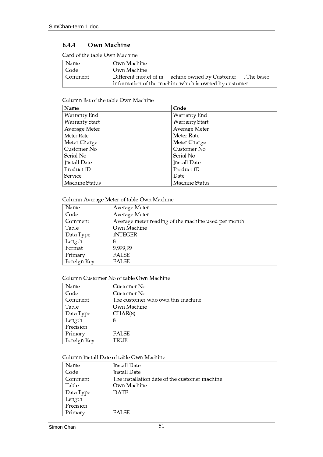#### 6.4.4 Own Machine

Card of the table Own Machine

| Name      | Own Machine                                                  |  |
|-----------|--------------------------------------------------------------|--|
| Code      | Own Machine                                                  |  |
| l Comment | Different model of m achine owned by Customer<br>. The basic |  |
|           | information of the machine which is owned by customer        |  |

# Column list of the table Own Machine

| Name                  | Code                  |
|-----------------------|-----------------------|
| Warranty End          | Warranty End          |
| <b>Warranty Start</b> | <b>Warranty Start</b> |
| Average Meter         | Average Meter         |
| MeterRate             | Meter Rate            |
| Meter Charge          | Meter Charge          |
| Customer No           | Customer No           |
| Serial No             | Serial No             |
| Install Date          | Install Date          |
| Product ID            | Product ID            |
| Service               | Date                  |
| Machine Status        | Machine Status        |

# Column Average Meter of table Own Machine

| Name        | Average Meter                                       |
|-------------|-----------------------------------------------------|
| Code        | Average Meter                                       |
| Comment     | Average meter reading of the machine used per month |
| Table       | Own Machine                                         |
| Data Type   | <b>INTEGER</b>                                      |
| Length      | 8                                                   |
| Format      | 9,999,99                                            |
| Primary     | <b>FALSE</b>                                        |
| Foreign Key | FALSE                                               |

### Column Customer No of table Own Machine

| Name        | Customer No                       |
|-------------|-----------------------------------|
| Code        | Customer No                       |
| Comment     | The customer who own this machine |
| Table       | Own Machine                       |
| Data Type   | CHAR(8)                           |
| Length      | 8                                 |
| Precision   |                                   |
| Primary     | <b>FALSE</b>                      |
| Foreign Key | TRUE                              |

## Column Install Date of table Own Machine

| Name      | Install Date                                  |
|-----------|-----------------------------------------------|
| Code      | Install Date                                  |
| Comment   | The installation date of the customer machine |
| Table     | Own Machine                                   |
| Data Type | <b>DATE</b>                                   |
| Length    |                                               |
| Precision |                                               |
| Primary   | <b>FALSE</b>                                  |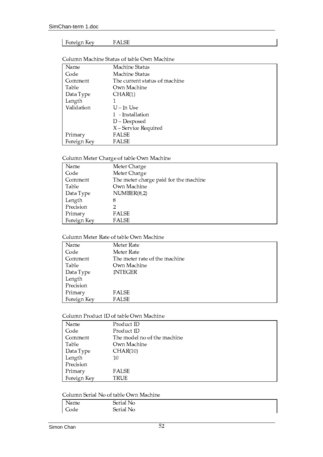#### Foreign Key **FALSE**

| Name        | Machine Status                |
|-------------|-------------------------------|
| Code        | Machine Status                |
| Comment     | The current status of machine |
| Table       | Own Machine                   |
| Data Type   | CHAR(1)                       |
| Length      |                               |
| Validation  | $U$ – In Use                  |
|             | I - Installation              |
|             | $D - Desposed$                |
|             | X-Service Required            |
| Primary     | FALSE                         |
| Foreign Key | FALSE                         |

### Column Machine Status of table Own Machine

# Column Meter Charge of table Own Machine

| Name        | Meter Charge                          |
|-------------|---------------------------------------|
| Code        | Meter Charge                          |
| Comment     | The meter charge paid for the machine |
| Table       | Own Machine                           |
| Data Type   | NUMBER(8,2)                           |
| Length      | 8                                     |
| Precision   | 2                                     |
| Primary     | FALSE                                 |
| Foreign Key | <b>FALSE</b>                          |

# Column Meter Rate of table Own Machine

| Name        | Meter Rate                    |
|-------------|-------------------------------|
| Code        | Meter Rate                    |
| Comment     | The meter rate of the machine |
| Table       | Own Machine                   |
| Data Type   | <b>INTEGER</b>                |
| Length      |                               |
| Precision   |                               |
| Primary     | <b>FALSE</b>                  |
| Foreign Key | <b>FALSE</b>                  |

## Column Product ID of table Own Machine

| Name        | Product ID                  |
|-------------|-----------------------------|
| Code        | Product ID                  |
| Comment     | The model no of the machine |
| Table       | Own Machine                 |
| Data Type   | CHAR(10)                    |
| Length      | 10                          |
| Precision   |                             |
| Primary     | <b>FALSE</b>                |
| Foreign Key | TRUE                        |

# Column Serial No of table Own Machine

| Name | Serial No |  |
|------|-----------|--|
| Code | Serial No |  |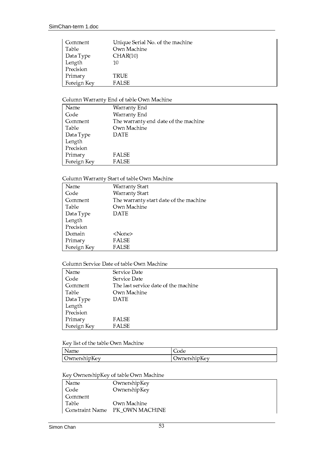| Comment     | Unique Serial No. of the machine |
|-------------|----------------------------------|
| Table       | Own Machine                      |
| Data Type   | CHAR(10)                         |
| Length      | 10                               |
| Precision   |                                  |
| Primary     | TRUE                             |
| Foreign Key | <b>FALSE</b>                     |

# Column Warranty End of table Own Machine

| Name        | Warranty End                         |
|-------------|--------------------------------------|
| Code        | Warranty End                         |
| Comment     | The warranty end date of the machine |
| Table       | Own Machine                          |
| Data Type   | <b>DATE</b>                          |
| Length      |                                      |
| Precision   |                                      |
| Primary     | <b>FALSE</b>                         |
| Foreign Key | <b>FALSE</b>                         |

## Column Warranty Start of table Own Machine

| Name        | <b>Warranty Start</b>                  |
|-------------|----------------------------------------|
| Code        | <b>Warranty Start</b>                  |
| Comment     | The warranty start date of the machine |
| Table       | Own Machine                            |
| Data Type   | <b>DATE</b>                            |
| Length      |                                        |
| Precision   |                                        |
| Domain      | <none></none>                          |
| Primary     | <b>FALSE</b>                           |
| Foreign Key | <b>FALSE</b>                           |

#### Column Service Date of table Own Machine

| Name        | Service Date                         |
|-------------|--------------------------------------|
| Code        | Service Date                         |
| Comment     | The last service date of the machine |
| Table       | Own Machine                          |
| Data Type   | <b>DATE</b>                          |
| Length      |                                      |
| Precision   |                                      |
| Primary     | <b>FALSE</b>                         |
| Foreign Key | <b>FALSE</b>                         |

# Key list of the table Own Machine

| Name                |                     |
|---------------------|---------------------|
| T.C<br>OwnershipKey | <b>TwnershipKey</b> |

# Key OwnershipKey of table Own Machine

| Name    | OwnershipKey                   |
|---------|--------------------------------|
| Code    | OwnershipKey                   |
| Comment |                                |
| Table   | Own Machine                    |
|         | Constraint Name PK_OWN MACHINE |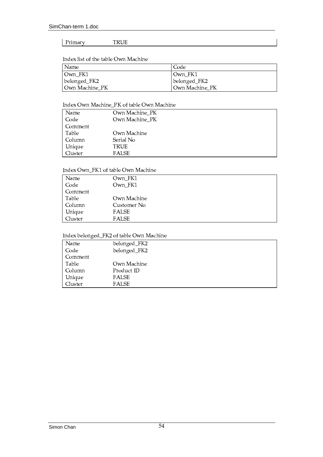#### Primary  $\ensuremath{\mathsf{T}}\ensuremath{\mathsf{RUE}}$

Index list of the table Own Machine

| Name              | Code           |
|-------------------|----------------|
| $\lfloor$ Own_FK1 | Own_FK1        |
| belonged_FK2      | belonged_FK2   |
| Own Machine_PK    | Own Machine_PK |

# Index Own Machine\_PK of table Own Machine

| Name    | Own Machine_PK |
|---------|----------------|
| Code    | Own Machine_PK |
| Comment |                |
| Table   | Own Machine    |
| Column  | Serial No      |
| Unique  | TRUE           |
| Cluster | FALSE          |

### Index Own\_FK1 of table Own Machine

| Name    | Own_FK1      |
|---------|--------------|
| Code    | Own_FK1      |
| Comment |              |
| Table   | Own Machine  |
| Column  | Customer No  |
| Unique  | <b>FALSE</b> |
| Cluster | <b>FALSE</b> |

# Index belonged\_FK2 of table Own Machine

| Name    | belonged_FK2 |
|---------|--------------|
| Code    | belonged_FK2 |
| Comment |              |
| Table   | Own Machine  |
| Column  | Product ID   |
| Unique  | <b>FALSE</b> |
| Cluster | <b>FALSE</b> |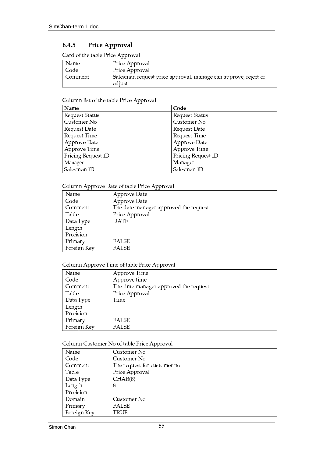#### 6.4.5 Price Approval

Card of the table Price Approval

| Name      | Price Approval                                                 |
|-----------|----------------------------------------------------------------|
| Code      | Price Approval                                                 |
| l Comment | Salesman request price approval, manage can approve, reject or |
|           | adjust.                                                        |

# Column list of the table Price Approval

| Name               | Code                  |
|--------------------|-----------------------|
| Request Status     | <b>Request Status</b> |
| Customer No        | Customer No           |
| Request Date       | Request Date          |
| Request Time       | Request Time          |
| Approve Date       | Approve Date          |
| Approve Time       | Approve Time          |
| Pricing Request ID | Pricing Request ID    |
| Manager            | Manager               |
| Salesman ID        | Salesman ID           |

# Column Approve Date of table Price Approval

| Name        | Approve Date                          |
|-------------|---------------------------------------|
| Code        | Approve Date                          |
| Comment     | The date manager approved the request |
| Table       | Price Approval                        |
| Data Type   | <b>DATE</b>                           |
| Length      |                                       |
| Precision   |                                       |
| Primary     | FALSE                                 |
| Foreign Key | <b>FALSE</b>                          |
|             |                                       |

# Column Approve Time of table Price Approval

| Name        | Approve Time                          |
|-------------|---------------------------------------|
| Code        | Approve time                          |
| Comment     | The time manager approved the request |
| Table       | Price Approval                        |
| Data Type   | Time                                  |
| Length      |                                       |
| Precision   |                                       |
| Primary     | <b>FALSE</b>                          |
| Foreign Key | <b>FALSE</b>                          |

# Column Customer No of table Price Approval

| Name        | Customer No                 |
|-------------|-----------------------------|
| Code        | Customer No                 |
| Comment     | The request for customer no |
| Table       | Price Approval              |
| Data Type   | CHAR(8)                     |
| Length      | 8                           |
| Precision   |                             |
| Domain      | Customer No                 |
| Primary     | <b>FALSE</b>                |
| Foreign Key | TRUE                        |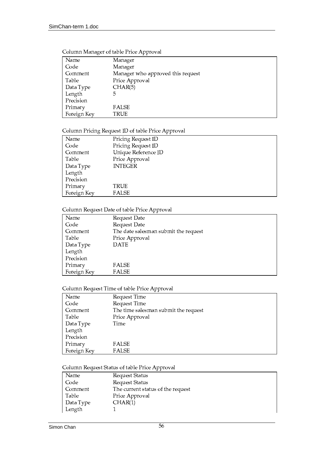| Name        | Manager                           |
|-------------|-----------------------------------|
| Code        | Manager                           |
| Comment     | Manager who approved this request |
| Table       | Price Approval                    |
| Data Type   | CHAR(5)                           |
| Length      | 5                                 |
| Precision   |                                   |
| Primary     | <b>FALSE</b>                      |
| Foreign Key | TRUE                              |
|             |                                   |

## Column Manager of table Price Approval

# Column Pricing Request ID of table Price Approval

| Name        | Pricing Request ID  |
|-------------|---------------------|
| Code        | Pricing Request ID  |
| Comment     | Unique Reference ID |
| Table       | Price Approval      |
| Data Type   | <b>INTEGER</b>      |
| Length      |                     |
| Precision   |                     |
| Primary     | TRUE                |
| Foreign Key | FALSE               |

### Column Request Date of table Price Approval

| Name        | Request Date                         |
|-------------|--------------------------------------|
| Code        | Request Date                         |
| Comment     | The date salesman submit the request |
| Table       | Price Approval                       |
| Data Type   | <b>DATE</b>                          |
| Length      |                                      |
| Precision   |                                      |
| Primary     | <b>FALSE</b>                         |
| Foreign Key | <b>FALSE</b>                         |

# Column Request Time of table Price Approval

| Name        | Request Time                         |
|-------------|--------------------------------------|
| Code        | Request Time                         |
| Comment     | The time salesman submit the request |
| Table       | Price Approval                       |
| Data Type   | Time                                 |
| Length      |                                      |
| Precision   |                                      |
| Primary     | FALSE                                |
| Foreign Key | FALSE                                |

# Column Request Status of table Price Approval

| Name      | Request Status                    |
|-----------|-----------------------------------|
| Code      | Request Status                    |
| Comment   | The current status of the request |
| Table     | Price Approval                    |
| Data Type | CHAR(1)                           |
| Length    |                                   |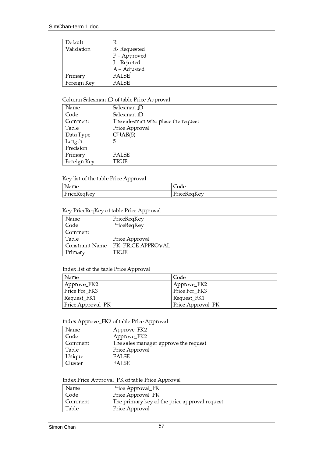| Default     | R              |
|-------------|----------------|
| Validation  | R-Requested    |
|             | $P - Approved$ |
|             | J – Rejected   |
|             | $A - Adjusted$ |
| Primary     | FALSE          |
| Foreign Key | FALSE          |

# Column Salesman ID of table Price Approval

| Name        | Salesman ID                        |
|-------------|------------------------------------|
| Code        | Salesman ID                        |
| Comment     | The salesman who place the request |
| Table       | Price Approval                     |
| Data Type   | CHAR(5)                            |
| Length      | 5                                  |
| Precision   |                                    |
| Primary     | <b>FALSE</b>                       |
| Foreign Key | TRUE                               |

# Key list of the table Price Approval

| Name        | Code        |
|-------------|-------------|
| PriceReqKey | PriceRegKey |

#### Key PriceReqKey of table Price Approval

| Name            | PriceReqKey       |
|-----------------|-------------------|
| Code            | PriceReqKey       |
| Comment         |                   |
| Table           | Price Approval    |
| Constraint Name | PK PRICE APPROVAL |
| Primary         | TRUE              |

### Index list of the table Price Approval

| Name              | Code              |
|-------------------|-------------------|
| Approve_FK2       | Approve_FK2       |
| Price For FK3     | Price For_FK3     |
| Request_FK1       | Request_FK1       |
| Price Approval_PK | Price Approval_PK |

### Index Approve\_FK2 of table Price Approval

| Name    | Approve_FK2                           |
|---------|---------------------------------------|
| Code    | Approve_FK2                           |
| Comment | The sales manager approve the request |
| Table   | Price Approval                        |
| Unique  | <b>FALSE</b>                          |
| Cluster | <b>FALSE</b>                          |

# Index Price Approval\_PK of table Price Approval

| Name    | Price Approval_PK                             |
|---------|-----------------------------------------------|
| Code    | Price Approval_PK                             |
| Comment | The primary key of the price approval request |
| Table   | Price Approval                                |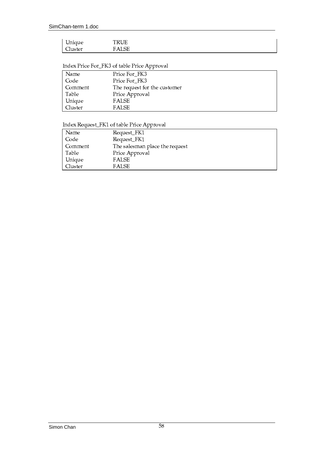# Index Price For\_FK3 of table Price Approval

| Name    | Price For FK3                |
|---------|------------------------------|
| Code    | Price For_FK3                |
| Comment | The request for the customer |
| Table   | Price Approval               |
| Unique  | FALSE                        |
| Cluster | <b>FALSE</b>                 |
|         |                              |

# Index Request\_FK1 of table Price Approval

| Name    | Request_FK1                    |
|---------|--------------------------------|
| Code    | Request_FK1                    |
| Comment | The salesman place the request |
| Table   | Price Approval                 |
| Unique  | <b>FALSE</b>                   |
| Cluster | <b>FALSE</b>                   |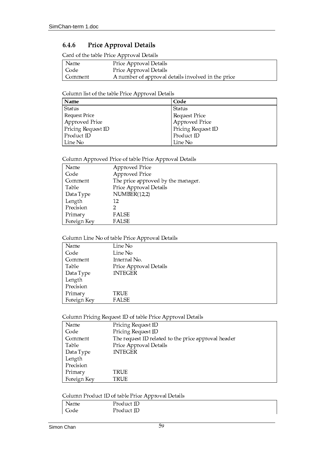#### Price Approval Details 6.4.6

Card of the table Price Approval Details

| Name    | Price Approval Details                             |  |
|---------|----------------------------------------------------|--|
| Code    | Price Approval Details                             |  |
| Comment | A number of approval details involved in the price |  |

# Column list of the table Price Approval Details

| Name               | Code                  |
|--------------------|-----------------------|
| Status             | Status                |
| RequestPrice       | Request Price         |
| Approved Price     | <b>Approved Price</b> |
| Pricing Request ID | Pricing Request ID    |
| Product ID         | Product ID            |
| l Line No          | Line No               |

# Column Approved Price of table Price Approval Details

| Name        | Approved Price                     |
|-------------|------------------------------------|
| Code        | Approved Price                     |
| Comment     | The price approved by the manager. |
| Table       | Price Approval Details             |
| Data Type   | NUMBER(12,2)                       |
| Length      | 12                                 |
| Precision   |                                    |
| Primary     | <b>FALSE</b>                       |
| Foreign Key | FALSE                              |

# Column Line No of table Price Approval Details

| Name        | Line No                |
|-------------|------------------------|
| Code        | Line No                |
| Comment     | Internal No.           |
| Table       | Price Approval Details |
| Data Type   | <b>INTEGER</b>         |
| Length      |                        |
| Precision   |                        |
| Primary     | TRUE                   |
| Foreign Key | <b>FALSE</b>           |

# Column Pricing Request ID of table Price Approval Details

| Name        | Pricing Request ID                                  |
|-------------|-----------------------------------------------------|
| Code        | Pricing Request ID                                  |
| Comment     | The request ID related to the price approval header |
| Table       | Price Approval Details                              |
| Data Type   | <b>INTEGER</b>                                      |
| Length      |                                                     |
| Precision   |                                                     |
| Primary     | TRUE                                                |
| Foreign Key | TRUE                                                |

# Column Product ID of table Price Approval Details

|      | . .        |
|------|------------|
| Name | Product ID |
| Code | Product ID |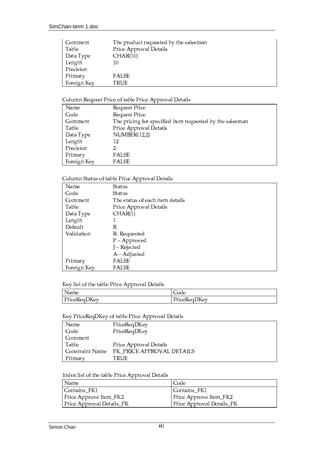| ∣ Comment   | The product requested by the salesman |
|-------------|---------------------------------------|
| Table       | Price Approval Details                |
| Data Type   | CHAR(10)                              |
| Length      | 10                                    |
| Precision   |                                       |
| Primary     | <b>FALSE</b>                          |
| Foreign Key | TRUE                                  |

# Column Request Price of table Price Approval Details

| Name        | Request Price                                            |
|-------------|----------------------------------------------------------|
| Code        | Request Price                                            |
| Comment     | The pricing for specified item requested by the salesman |
| Table       | Price Approval Details                                   |
| Data Type   | NUMBER(12,2)                                             |
| Length      | 12                                                       |
| Precision   | 2                                                        |
| Primary     | <b>FALSE</b>                                             |
| Foreign Key | FALSE                                                    |

# Column Status of table Price Approval Details

| Name        | Status                          |
|-------------|---------------------------------|
| Code        | Status                          |
| Comment     | The status of each item details |
| Table       | Price Approval Details          |
| Data Type   | CHAR(1)                         |
| Length      |                                 |
| Default     | R                               |
| Validation  | R-Requested                     |
|             | $P$ – Approved                  |
|             | J - Rejected                    |
|             | $A - Adjusted$                  |
| Primary     | FALSE                           |
| Foreign Key | FALSE                           |

# Key list of the table Price Approval Details

| Name         | Code         |
|--------------|--------------|
| PriceReqDKey | PriceReqDKey |

# Key PriceReqDKey of table Price Approval Details

| Name            | PriceReqDKey              |
|-----------------|---------------------------|
| Code            | PriceReqDKey              |
| Comment         |                           |
| Table           | Price Approval Details    |
| Constraint Name | PK PRICE APPROVAL DETAILS |
| Primarv         | TRUE                      |

# Index list of the table Price Approval Details

| Name                      | Code                      |
|---------------------------|---------------------------|
| Contains_FK1              | Contains_FK1              |
| Price Approve Item_FK2    | Price Approve Item_FK2    |
| Price Approval Details_PK | Price Approval Details_PK |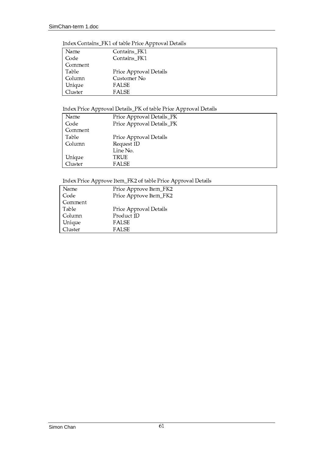#### Index Contains\_FK1 of table Price Approval Details

| Name    | Contains_FK1           |
|---------|------------------------|
| Code    | Contains FK1           |
| Comment |                        |
| Table   | Price Approval Details |
| Column  | Customer No            |
| Unique  | <b>FALSE</b>           |
| Cluster | <b>FALSE</b>           |
|         |                        |

# Index Price Approval Details\_PK of table Price Approval Details

| Name    | Price Approval Details_PK |  |  |
|---------|---------------------------|--|--|
| Code    | Price Approval Details_PK |  |  |
| Comment |                           |  |  |
| Table   | Price Approval Details    |  |  |
| Column  | Request ID                |  |  |
|         | Line No.                  |  |  |
| Unique  | TRUE                      |  |  |
| Cluster | <b>FALSE</b>              |  |  |

#### Index Price Approve Ite  $^{\circ}$   $^{\circ}$   $^{\circ}$   $^{\circ}$   $^{\circ}$   $^{\circ}$   $^{\circ}$   $^{\circ}$   $^{\circ}$   $^{\circ}$   $^{\circ}$   $^{\circ}$   $^{\circ}$   $^{\circ}$   $^{\circ}$   $^{\circ}$   $^{\circ}$   $^{\circ}$   $^{\circ}$   $^{\circ}$   $^{\circ}$   $^{\circ}$   $^{\circ}$   $^{\circ}$   $^{\circ}$   $^{\circ}$   $^{\circ}$   $^{\circ}$   $^{\circ}$   $^{\circ}$   $^{\circ}$   $^{\circ$

| Name    | Price Approve Item_FK2 |  |
|---------|------------------------|--|
| Code    | Price Approve Item_FK2 |  |
| Comment |                        |  |
| Table   | Price Approval Details |  |
| Column  | Product ID             |  |
| Unique  | <b>FALSE</b>           |  |
| Cluster | <b>FALSE</b>           |  |
|         |                        |  |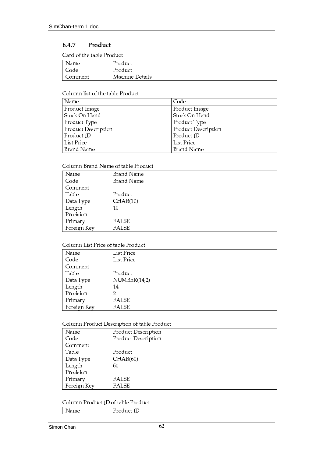#### 6.4.7 Product

Card of the table Product

| Name    | Product         |  |
|---------|-----------------|--|
| Code    | Product         |  |
| Comment | Machine Details |  |

## Column list of the table Product

| Name                | Code                |
|---------------------|---------------------|
| Product Image       | Product Image       |
| Stock On Hand       | Stock On Hand       |
| Product Type        | Product Type        |
| Product Description | Product Description |
| Product ID          | Product ID          |
| List Price          | List Price          |
| Brand Name          | Brand Name          |

# Column Brand Name of table Product

| Name        | Brand Name   |
|-------------|--------------|
| Code        | Brand Name   |
| Comment     |              |
| Table       | Product      |
| Data Type   | CHAR(10)     |
| Length      | 10           |
| Precision   |              |
| Primary     | <b>FALSE</b> |
| Foreign Key | <b>FALSE</b> |

# Column List Price of table Product

| Name        | List Price   |
|-------------|--------------|
| Code        | List Price   |
| Comment     |              |
| Table       | Product      |
| Data Type   | NUMBER(14,2) |
| Length      | 14           |
| Precision   | 2            |
| Primary     | <b>FALSE</b> |
| Foreign Key | <b>FALSE</b> |
|             |              |

# Column Product Description of table Product

| Name        | Product Description |
|-------------|---------------------|
| Code        | Product Description |
| Comment     |                     |
| Table       | Product             |
| Data Type   | CHAR(60)            |
| Length      | 60                  |
| Precision   |                     |
| Primary     | <b>FALSE</b>        |
| Foreign Key | <b>FALSE</b>        |

# Column Product ID of table Product

|      | $-$     |  |
|------|---------|--|
| Name | ouucrio |  |
|      |         |  |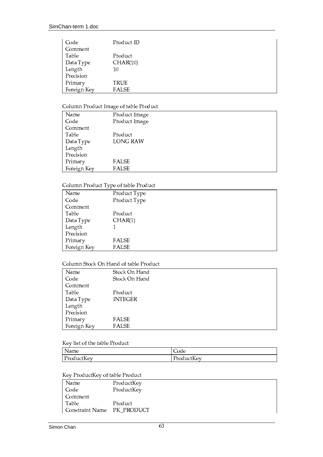| Code        | Product ID   |
|-------------|--------------|
| Comment     |              |
| Table       | Product      |
| Data Type   | CHAR(10)     |
| Length      | 10           |
| Precision   |              |
| Primary     | <b>TRUE</b>  |
| Foreign Key | <b>FALSE</b> |

# Column Product Image of table Product

|             | $\cdot$         |
|-------------|-----------------|
| Name        | Product Image   |
| Code        | Product Image   |
| Comment     |                 |
| Table       | Product         |
| Data Type   | <b>LONG RAW</b> |
| Length      |                 |
| Precision   |                 |
| Primary     | FALSE           |
| Foreign Key | FALSE           |

# Column Product Type of table Product

| Committee to add to pe of table 1 fou act |              |  |
|-------------------------------------------|--------------|--|
| Name                                      | Product Type |  |
| Code                                      | Product Type |  |
| Comment                                   |              |  |
| Table                                     | Product      |  |
| Data Type                                 | CHAR(1)      |  |
| Length                                    |              |  |
| Precision                                 |              |  |
| Primary                                   | FALSE        |  |
| Foreign Key                               | FALSE        |  |

### Column Stock On Hand of table Product

| Name        | Stock On Hand  |
|-------------|----------------|
| Code        | Stock On Hand  |
| Comment     |                |
| Table       | Product        |
| Data Type   | <b>INTEGER</b> |
| Length      |                |
| Precision   |                |
| Primary     | <b>FALSE</b>   |
| Foreign Key | <b>FALSE</b>   |

# Key list of the table Product

| Name       | Code       |
|------------|------------|
| ProductKey | ProductKey |

# Key ProductKey of table Product

| Name                       | ProductKey |
|----------------------------|------------|
| Code                       | ProductKey |
| Comment                    |            |
| Table                      | Product    |
| Constraint Name PK_PRODUCT |            |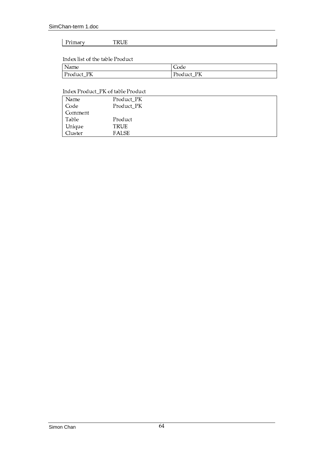#### Primary TRUE

# Index list of the table Product

| Name       | Code          |
|------------|---------------|
| Product_PK | Product<br>PК |

# Index Product\_PK of table Product

| Name    | Product_PK   |
|---------|--------------|
| Code    | Product_PK   |
| Comment |              |
| Table   | Product      |
| Unique  | <b>TRUE</b>  |
| Cluster | <b>FALSE</b> |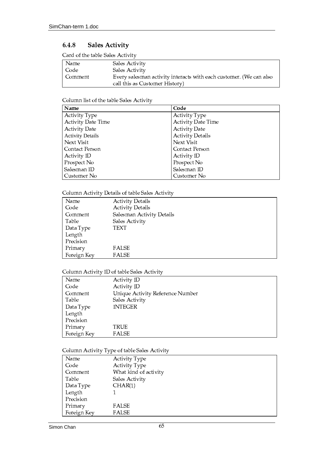#### 6.4.8 **Sales Activity**

Card of the table Sales Activity

| l Name  | Sales Activity                                                     |
|---------|--------------------------------------------------------------------|
| Code    | Sales Activity                                                     |
| Comment | Every salesman activity interacts with each customer. (We can also |
|         | call this as Customer History)                                     |

# Column list of the table Sales Activity

| Name                      | Code                    |
|---------------------------|-------------------------|
| Activity Type             | <b>Activity Type</b>    |
| <b>Activity Date Time</b> | Activity Date Time      |
| <b>Activity Date</b>      | <b>Activity Date</b>    |
| ActivityDetails           | <b>Activity Details</b> |
| Next Visit                | Next Visit              |
| Contact Person            | Contact Person          |
| Activity ID               | Activity ID             |
| Prospect No               | Prospect No             |
| Salesman ID               | Salesman ID             |
| Customer No               | Customer No             |

# Column Activity Details of table Sales Activity

| Name        | <b>Activity Details</b>   |
|-------------|---------------------------|
| Code        | <b>Activity Details</b>   |
| Comment     | Salesman Activity Details |
| Table       | Sales Activity            |
| Data Type   | TEXT                      |
| Length      |                           |
| Precision   |                           |
| Primary     | FALSE                     |
| Foreign Key | <b>FALSE</b>              |

# Column Activity ID of table Sales Activity

| Name        | <b>Activity ID</b>               |
|-------------|----------------------------------|
| Code        | Activity ID                      |
| Comment     | Unique Activity Reference Number |
| Table       | Sales Activity                   |
| Data Type   | <b>INTEGER</b>                   |
| Length      |                                  |
| Precision   |                                  |
| Primary     | TRUE                             |
| Foreign Key | FALSE                            |

# Column Activity Type of table Sales Activity

| Name        | <b>Activity Type</b>  |
|-------------|-----------------------|
| Code        | Activity Type         |
| Comment     | What kind of activity |
| Table       | Sales Activity        |
| Data Type   | CHAR(1)               |
| Length      |                       |
| Precision   |                       |
| Primary     | <b>FALSE</b>          |
| Foreign Key | FALSE                 |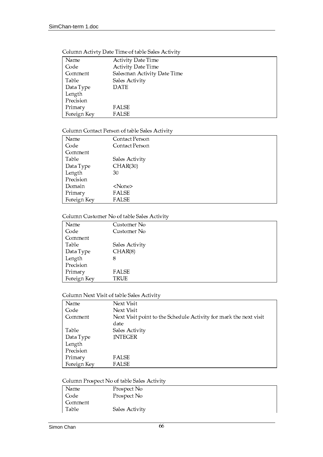| Name        | <b>Activity Date Time</b>   |
|-------------|-----------------------------|
| Code        | Activity Date Time          |
| Comment     | Salesman Activity Date Time |
| Table       | Sales Activity              |
| Data Type   | <b>DATE</b>                 |
| Length      |                             |
| Precision   |                             |
| Primary     | FALSE                       |
| Foreign Key | FALSE                       |

# Column Activty Date Time of table Sales Activity

# Column Contact Person of table Sales Activity

| Name        | Contact Person |
|-------------|----------------|
| Code        | Contact Person |
| Comment     |                |
| Table       | Sales Activity |
| Data Type   | CHAR(30)       |
| Length      | 30             |
| Precision   |                |
| Domain      | <none></none>  |
| Primary     | FALSE          |
| Foreign Key | <b>FALSE</b>   |

#### Column Customer No of table Sales Activity

| Name        | Customer No    |
|-------------|----------------|
| Code        | Customer No    |
| Comment     |                |
| Table       | Sales Activity |
| Data Type   | CHAR(8)        |
| Length      | 8              |
| Precision   |                |
| Primary     | <b>FALSE</b>   |
| Foreign Key | TRUE           |

#### °¼ÂÅi¿½`Ù¸Õ¶ ´µ ´¶&¼Á8¶¹Ä8¸³¹Â¸µ®+º¶´Ñ&´¶¾

| Name        | Next Visit                                                                |
|-------------|---------------------------------------------------------------------------|
| Code        | Next Visit                                                                |
| Comment     | Next Visit point to the Schedule Activity for mark the next visit<br>date |
| Table       | Sales Activity                                                            |
| Data Type   | <b>INTEGER</b>                                                            |
| Length      |                                                                           |
| Precision   |                                                                           |
| Primary     | FALSE                                                                     |
| Foreign Key | <b>FALSE</b>                                                              |

Column Prospect No of table Sales Activity

| Name    | Prospect No    |
|---------|----------------|
| Code    | Prospect No    |
| Comment |                |
| Table   | Sales Activity |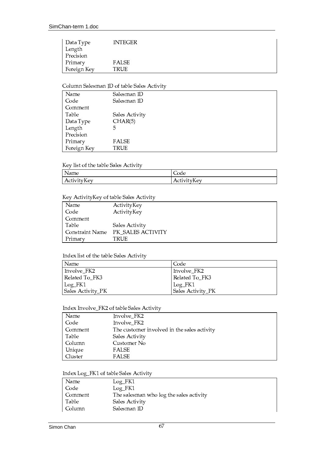| Data Type   | <b>INTEGER</b> |
|-------------|----------------|
| Length      |                |
| Precision   |                |
| Primary     | <b>FALSE</b>   |
| Foreign Key | <b>TRUE</b>    |

#### Column Salesman ID of table Sales Activity

| Name        | Salesman ID    |
|-------------|----------------|
| Code        | Salesman ID    |
| Comment     |                |
| Table       | Sales Activity |
| Data Type   | CHAR(5)        |
| Length      | 5              |
| Precision   |                |
| Primary     | <b>FALSE</b>   |
| Foreign Key | TRUE           |

# Key list of the table Sales Activity

| Name        | Code         |
|-------------|--------------|
| T.          | $\mathbf{r}$ |
| ActivityKey | ActivityKey  |

# Key ActivityKey of table Sales Activity

| Name            | ActivityKey       |
|-----------------|-------------------|
| Code            | ActivityKey       |
| Comment         |                   |
| Table           | Sales Activity    |
| Constraint Name | PK SALES ACTIVITY |
| Primary         | TRUE              |

### Index list of the table Sales Activity

| Name              | Code              |
|-------------------|-------------------|
| Involve_FK2       | Involve_FK2       |
| Related To_FK3    | Related To FK3    |
| $Log_F K1$        | Log_FK1           |
| Sales Activity_PK | Sales Activity_PK |

#### Index Involve\_FK2 of table Sales Activity

| Name    | Involve_FK2                                 |
|---------|---------------------------------------------|
| Code    | Involve_FK2                                 |
| Comment | The customer involved in the sales activity |
| Table   | Sales Activity                              |
| Column  | Customer No                                 |
| Unique  | FALSE                                       |
| Cluster | <b>FALSE</b>                                |

#### Index Log\_FK1 of table Sales Activity

| Name    | $Log_FK1$                               |
|---------|-----------------------------------------|
| Code    | $Log_FK1$                               |
| Comment | The salesman who log the sales activity |
| Table   | Sales Activity                          |
| Column  | Salesman ID                             |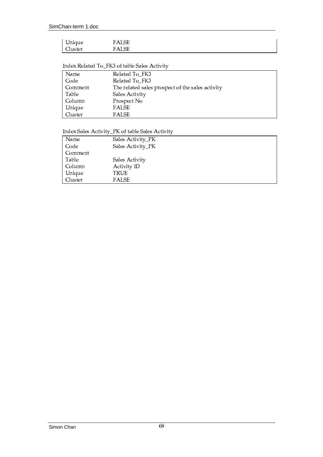# Index Related To\_FK3 of table Sales Activity

| Name    | Related To_FK3                                   |
|---------|--------------------------------------------------|
| Code    | Related To FK3                                   |
| Comment | The related sales prospect of the sales activity |
| Table   | Sales Activity                                   |
| Column  | Prospect No                                      |
| Unique  | FALSE                                            |
| Cluster | FALSE                                            |

# Index Sales Activity\_PK of table Sales Activity

| Name    | Sales Activity_PK  |
|---------|--------------------|
| Code    | Sales Activity_PK  |
| Comment |                    |
| Table   | Sales Activity     |
| Column  | <b>Activity ID</b> |
| Unique  | TRUE               |
| Cluster | <b>FALSE</b>       |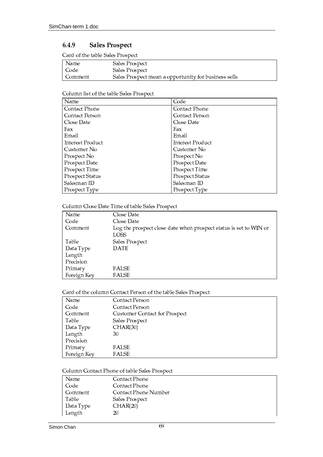### 6.4.9 **Sales Prospect**

Card of the table Sales Prospect

| Name    | Sales Prospect                                       |
|---------|------------------------------------------------------|
| Code    | Sales Prospect                                       |
| Comment | Sales Prospect mean a opportunity for business sells |

# Column list of the table Sales Prospect

| Name                   | Code                   |
|------------------------|------------------------|
| Contact Phone          | Contact Phone          |
| Contact Person         | Contact Person         |
| Close Date             | Close Date             |
| Fax                    | Fax                    |
| Email                  | Email                  |
| Interest Product       | Interest Product       |
| Customer No            | Customer No            |
| Prospect No            | Prospect No            |
| Prospect Date          | Prospect Date          |
| Prospect Time          | Prospect Time          |
| <b>Prospect Status</b> | <b>Prospect Status</b> |
| Salesman ID            | Salesman ID            |
| Prospect Type          | Prospect Type          |

# Column Close Date Time of table Sales Prospect

| Name        | Close Date                                                                       |
|-------------|----------------------------------------------------------------------------------|
| Code        | Close Date                                                                       |
| Comment     | Log the prospect close date when prospect status is set to WIN or<br><b>LOSS</b> |
|             |                                                                                  |
| Table       | Sales Prospect                                                                   |
| Data Type   | <b>DATE</b>                                                                      |
| Length      |                                                                                  |
| Precision   |                                                                                  |
| Primary     | FALSE                                                                            |
| Foreign Key | FALSE                                                                            |

# Card of the column Contact Person of the table Sales Prospect

| Name        | Contact Person                       |
|-------------|--------------------------------------|
| Code        | Contact Person                       |
| Comment     | <b>Customer Contact for Prospect</b> |
| Table       | Sales Prospect                       |
| Data Type   | CHAR(30)                             |
| Length      | 30                                   |
| Precision   |                                      |
| Primary     | <b>FALSE</b>                         |
| Foreign Key | <b>FALSE</b>                         |

# Column Contact Phone of table Sales Prospect

| Name      | Contact Phone        |
|-----------|----------------------|
| Code      | Contact Phone        |
| Comment   | Contact Phone Number |
| Table     | Sales Prospect       |
| Data Type | CHAR(20)             |
| Length    | 20                   |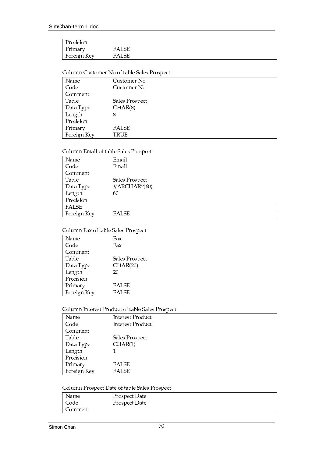| Precision   |       |  |
|-------------|-------|--|
| Primary     | FALSE |  |
| Foreign Key | FALSE |  |

# Column Customer No of table Sales Prospect

| Name        | Customer No    |
|-------------|----------------|
| Code        | Customer No    |
| Comment     |                |
| Table       | Sales Prospect |
| Data Type   | CHAR(8)        |
| Length      | 8              |
| Precision   |                |
| Primary     | <b>FALSE</b>   |
| Foreign Key | TRUE           |
|             |                |

# Column Email of table Sales Prospect

| Name         | Email          |
|--------------|----------------|
| Code         | Email          |
| Comment      |                |
| Table        | Sales Prospect |
| Data Type    | VARCHAR2(60)   |
| Length       | 60             |
| Precision    |                |
| <b>FALSE</b> |                |
| Foreign Key  | <b>FALSE</b>   |

# Column Fax of table Sales Prospect

| Name        | Fax            |
|-------------|----------------|
| Code        | Fax            |
| Comment     |                |
| Table       | Sales Prospect |
| Data Type   | CHAR(20)       |
| Length      | 20             |
| Precision   |                |
| Primary     | FALSE          |
| Foreign Key | <b>FALSE</b>   |

# Column Interest Product of table Sales Prospect

| Name        | Interest Product |
|-------------|------------------|
| Code        | Interest Product |
| Comment     |                  |
| Table       | Sales Prospect   |
| Data Type   | CHAR(1)          |
| Length      |                  |
| Precision   |                  |
| Primary     | <b>FALSE</b>     |
| Foreign Key | <b>FALSE</b>     |

# Column Prospect Date of table Sales Prospect

| Name    | Prospect Date |  |
|---------|---------------|--|
| Code    | Prospect Date |  |
| Comment |               |  |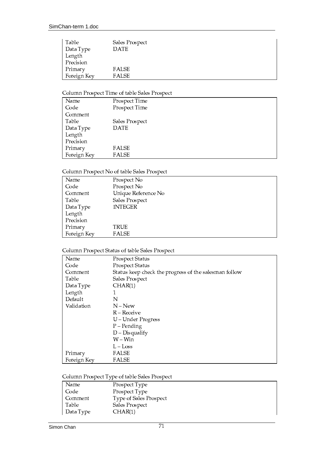| Table       | Sales Prospect |  |
|-------------|----------------|--|
| Data Type   | <b>DATE</b>    |  |
| Length      |                |  |
| Precision   |                |  |
| Primary     | <b>FALSE</b>   |  |
| Foreign Key | <b>FALSE</b>   |  |

# Column Prospect Time of table Sales Prospect

| Name        | Prospect Time  |
|-------------|----------------|
| Code        | Prospect Time  |
| Comment     |                |
| Table       | Sales Prospect |
| Data Type   | <b>DATE</b>    |
| Length      |                |
| Precision   |                |
| Primary     | <b>FALSE</b>   |
| Foreign Key | <b>FALSE</b>   |
|             |                |

# Column Prospect No of table Sales Prospect

| Name        | Prospect No         |
|-------------|---------------------|
| Code        | Prospect No         |
| Comment     | Unique Reference No |
| Table       | Sales Prospect      |
| Data Type   | <b>INTEGER</b>      |
| Length      |                     |
| Precision   |                     |
| Primary     | TRUE                |
| Foreign Key | <b>FALSE</b>        |

# Column Prospect Status of table Sales Prospect

| Name        | Prospect Status                                       |  |
|-------------|-------------------------------------------------------|--|
| Code        | Prospect Status                                       |  |
| Comment     | Status keep check the progress of the salesman follow |  |
| Table       | Sales Prospect                                        |  |
| Data Type   | CHAR(1)                                               |  |
| Length      | 1                                                     |  |
| Default     | N                                                     |  |
| Validation  | $N - New$                                             |  |
|             | $R -$ Receive                                         |  |
|             | U – Under Progress                                    |  |
|             | $P$ – Pending                                         |  |
|             | $D$ – Disqualify                                      |  |
|             | $W - Win$                                             |  |
|             | $L - Loss$                                            |  |
| Primary     | <b>FALSE</b>                                          |  |
| Foreign Key | <b>FALSE</b>                                          |  |

# Column Prospect Type of table Sales Prospect

| Name      | Prospect Type          |
|-----------|------------------------|
| Code      | Prospect Type          |
| Comment   | Type of Sales Prospect |
| Table     | Sales Prospect         |
| Data Type | CHAR(1)                |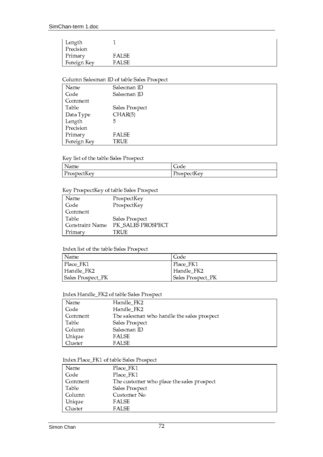| Length      |              |  |
|-------------|--------------|--|
| Precision   |              |  |
| Primary     | FALSE        |  |
| Foreign Key | <b>FALSE</b> |  |

# Column Salesman ID of table Sales Prospect

| Name        | Salesman ID    |
|-------------|----------------|
| Code        | Salesman ID    |
| Comment     |                |
| Table       | Sales Prospect |
| Data Type   | CHAR(5)        |
| Length      | 5              |
| Precision   |                |
| Primary     | <b>FALSE</b>   |
| Foreign Key | TRUE           |

# Key list of the table Sales Prospect

| Name        | Code        |
|-------------|-------------|
| ProspectKey | ProspectKey |

# Key ProspectKey of table Sales Prospect

| Name            | ProspectKey       |
|-----------------|-------------------|
| Code            | ProspectKey       |
| Comment         |                   |
| Table           | Sales Prospect    |
| Constraint Name | PK_SALES PROSPECT |
| Primary         | TRUE              |

# Index list of the table Sales Prospect

| Name              | Code              |
|-------------------|-------------------|
| Place FK1         | Place FK1         |
| Handle FK2        | Handle FK2        |
| Sales Prospect_PK | Sales Prospect_PK |

# Index Handle\_FK2 of table Sales Prospect

| Name    | Handle_FK2                                 |
|---------|--------------------------------------------|
| Code    | Handle FK2                                 |
| Comment | The salesman who handle the sales prospect |
| Table   | Sales Prospect                             |
| Column  | Salesman ID                                |
| Unique  | FALSE                                      |
| Cluster | FALSE                                      |

# Index Place\_FK1 of table Sales Prospect

| Place_FK1<br>Name<br>Code<br>Place FK1<br>Comment<br>The customer who place the sales prospect<br>Table<br>Sales Prospect<br>Customer No<br>Column<br>FALSE<br>Unique |  |
|-----------------------------------------------------------------------------------------------------------------------------------------------------------------------|--|
|                                                                                                                                                                       |  |
|                                                                                                                                                                       |  |
|                                                                                                                                                                       |  |
|                                                                                                                                                                       |  |
|                                                                                                                                                                       |  |
|                                                                                                                                                                       |  |
| Cluster<br><b>FALSE</b>                                                                                                                                               |  |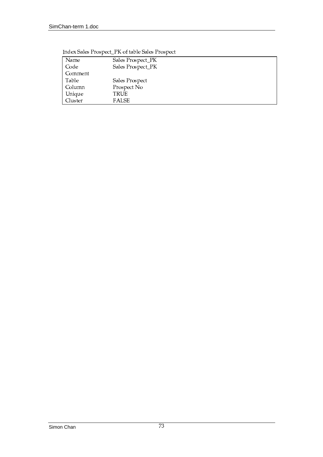| Name      | Sales Prospect_PK |
|-----------|-------------------|
| Code      | Sales Prospect_PK |
| l Comment |                   |
| Table     | Sales Prospect    |
| Column    | Prospect No       |
| Unique    | TRUE              |
| Cluster   | FALSE             |

Index Sales Prospect\_PK of table Sales Prospect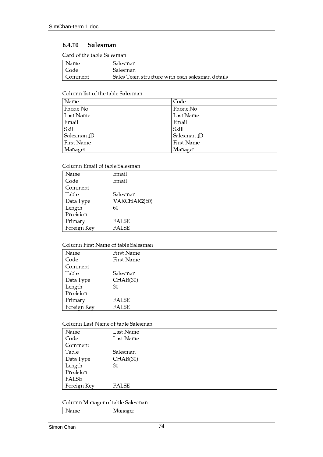### $6.4.10$ Salesman

Card of the table Salesman

| Name    | Salesman                                        |
|---------|-------------------------------------------------|
| Code    | Salesman                                        |
| Comment | Sales Team structure with each salesman details |

# Column list of the table Salesman

| Name        | Code        |
|-------------|-------------|
| Phone No    | Phone No    |
| Last Name   | Last Name   |
| Email       | Email       |
| Skill       | Skill       |
| Salesman ID | Salesman ID |
| First Name  | First Name  |
| Manager     | Manager     |

# Column Email of table Salesman

| Name        | Email        |
|-------------|--------------|
| Code        | Email        |
| Comment     |              |
| Table       | Salesman     |
| Data Type   | VARCHAR2(60) |
| Length      | 60           |
| Precision   |              |
| Primary     | FALSE        |
| Foreign Key | <b>FALSE</b> |

# Column First Name of table Salesman

| Name        | First Name   |
|-------------|--------------|
| Code        | First Name   |
| Comment     |              |
| Table       | Salesman     |
| Data Type   | CHAR(30)     |
| Length      | 30           |
| Precision   |              |
| Primary     | FALSE        |
| Foreign Key | <b>FALSE</b> |

# Column Last Name of table Salesman

| Name         | Last Name    |
|--------------|--------------|
| Code         | Last Name    |
| Comment      |              |
| Table        | Salesman     |
| Data Type    | CHAR(30)     |
| Length       | 30           |
| Precision    |              |
| <b>FALSE</b> |              |
| Foreign Key  | <b>FALSE</b> |

# Column Manager of table Salesman

| Name | Manager |
|------|---------|
|      |         |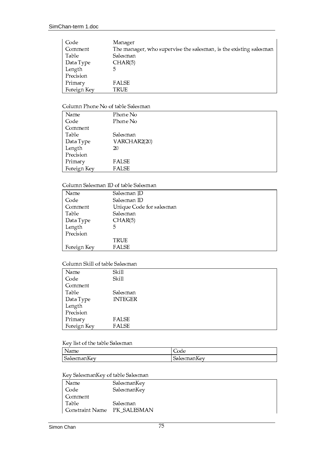| Code        | Manager                                                           |
|-------------|-------------------------------------------------------------------|
| Comment     | The manager, who supervise the salesman, is the existing salesman |
| Table       | Salesman                                                          |
| Data Type   | CHAR(5)                                                           |
| Length      | 5                                                                 |
| Precision   |                                                                   |
| Primary     | <b>FALSE</b>                                                      |
| Foreign Key | TRUE                                                              |

# Column Phone No of table Salesman

| Name        | Phone No     |
|-------------|--------------|
| Code        | Phone No     |
| Comment     |              |
| Table       | Salesman     |
| Data Type   | VARCHAR2(20) |
| Length      | 20           |
| Precision   |              |
| Primary     | <b>FALSE</b> |
| Foreign Key | <b>FALSE</b> |

## Column Salesman ID of table Salesman

| Name        | Salesman ID              |
|-------------|--------------------------|
| Code        | Salesman ID              |
| Comment     | Unique Code for salesman |
| Table       | Salesman                 |
| Data Type   | CHAR(5)                  |
| Length      | 5.                       |
| Precision   |                          |
|             | TRUE                     |
| Foreign Key | <b>FALSE</b>             |

# Column Skill of table Salesman

| Name        | Skill          |
|-------------|----------------|
| Code        | Skill          |
| Comment     |                |
| Table       | Salesman       |
| Data Type   | <b>INTEGER</b> |
| Length      |                |
| Precision   |                |
| Primary     | FALSE          |
| Foreign Key | <b>FALSE</b>   |

# Key list of the table Salesman

| Name        | Code                                   |
|-------------|----------------------------------------|
| SalesmanKey | $\sim$ $\sim$<br>$\sim$<br>SalesmanKey |

# Key SalesmanKey of table Salesman

| Name                        | SalesmanKey |
|-----------------------------|-------------|
| Code                        | SalesmanKey |
| Comment                     |             |
| Table                       | Salesman    |
| Constraint Name PK_SALESMAN |             |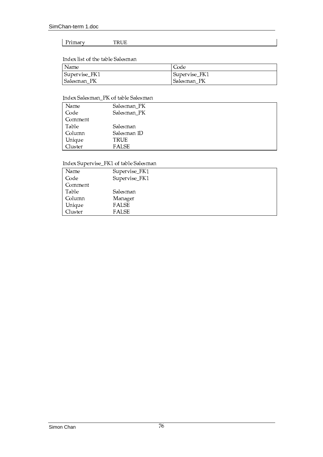### TRUE Primary

# Index list of the table Salesman

| Name          | Code          |
|---------------|---------------|
| Supervise_FK1 | Supervise_FK1 |
| Salesman PK   | Salesman PK   |

# Index Salesman\_PK of table Salesman

| Name    | Salesman_PK  |
|---------|--------------|
| Code    | Salesman_PK  |
| Comment |              |
| Table   | Salesman     |
| Column  | Salesman ID  |
| Unique  | TRUE         |
| Cluster | <b>FALSE</b> |

# Index Supervise\_FK1 of table Salesman

| Name    | Supervise_FK1 |
|---------|---------------|
| Code    | Supervise_FK1 |
| Comment |               |
| Table   | Salesman      |
| Column  | Manager       |
| Unique  | FALSE         |
| Cluster | <b>FALSE</b>  |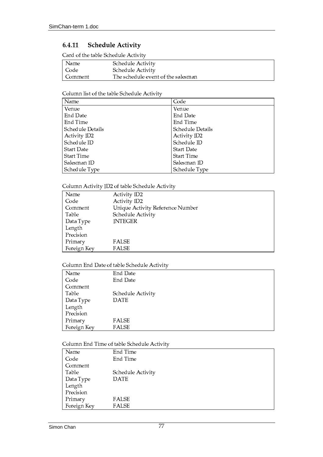### $6.4.11$ **Schedule Activity**

Card of the table Schedule Activity

| Name    | Schedule Activity                  |
|---------|------------------------------------|
| l Code  | Schedule Activity                  |
| Comment | The schedule event of the salesman |

# Column list of the table Schedule Activity

| Name              | Code              |
|-------------------|-------------------|
| Venue             | Venue             |
| End Date          | End Date          |
| End Time          | End Time          |
| Schedule Details  | Schedule Details  |
| Activity ID2      | Activity ID2      |
| Schedule ID       | Schedule ID       |
| <b>Start Date</b> | <b>Start Date</b> |
| <b>Start Time</b> | Start Time        |
| Salesman ID       | Salesman ID       |
| Schedule Type     | Schedule Type     |

# Column Activity ID2 of table Schedule Activity

| Name        | <b>Activity ID2</b>              |
|-------------|----------------------------------|
| Code        | Activity ID2                     |
| Comment     | Unique Activity Reference Number |
| Table       | Schedule Activity                |
| Data Type   | <b>INTEGER</b>                   |
| Length      |                                  |
| Precision   |                                  |
| Primary     | FALSE                            |
| Foreign Key | <b>FALSE</b>                     |
|             |                                  |

# Column End Date of table Schedule Activity

| Name        | End Date          |
|-------------|-------------------|
| Code        | End Date          |
| Comment     |                   |
| Table       | Schedule Activity |
| Data Type   | <b>DATE</b>       |
| Length      |                   |
| Precision   |                   |
| Primary     | <b>FALSE</b>      |
| Foreign Key | <b>FALSE</b>      |

# Column End Time of table Schedule Activity

| Name        | End Time          |
|-------------|-------------------|
| Code        | End Time          |
| Comment     |                   |
| Table       | Schedule Activity |
| Data Type   | <b>DATE</b>       |
| Length      |                   |
| Precision   |                   |
| Primary     | FALSE             |
| Foreign Key | <b>FALSE</b>      |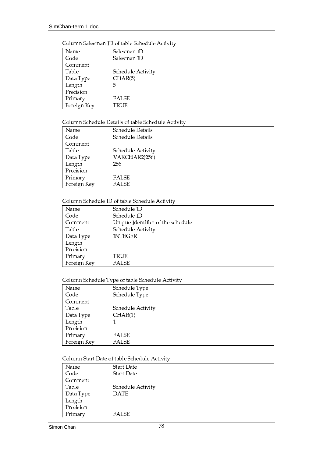|  | Column Salesman ID of table Schedule Activity |
|--|-----------------------------------------------|
|--|-----------------------------------------------|

| Name        | Salesman ID       |
|-------------|-------------------|
| Code        | Salesman ID       |
| Comment     |                   |
| Table       | Schedule Activity |
| Data Type   | CHAR(5)           |
| Length      | 5                 |
| Precision   |                   |
| Primary     | <b>FALSE</b>      |
| Foreign Key | TRUE              |

# Column Schedule Details of table Schedule Activity

| Name        | Schedule Details  |
|-------------|-------------------|
| Code        | Schedule Details  |
| Comment     |                   |
| Table       | Schedule Activity |
| Data Type   | VARCHAR2(256)     |
| Length      | 256               |
| Precision   |                   |
| Primary     | <b>FALSE</b>      |
| Foreign Key | <b>FALSE</b>      |

# Column Schedule ID of table Schedule Activity

| Name        | Schedule ID                       |
|-------------|-----------------------------------|
| Code        | Schedule ID                       |
| Comment     | Unqiue Identifier of the schedule |
| Table       | Schedule Activity                 |
| Data Type   | <b>INTEGER</b>                    |
| Length      |                                   |
| Precision   |                                   |
| Primary     | TRUE                              |
| Foreign Key | <b>FALSE</b>                      |

# Column Schedule Type of table Schedule Activity

| Name        | Schedule Type     |
|-------------|-------------------|
| Code        | Schedule Type     |
| Comment     |                   |
| Table       | Schedule Activity |
| Data Type   | CHAR(1)           |
| Length      |                   |
| Precision   |                   |
| Primary     | <b>FALSE</b>      |
| Foreign Key | <b>FALSE</b>      |

# Column Start Date of table Schedule Activity

| Name      | <b>Start Date</b> |
|-----------|-------------------|
| Code      | <b>Start Date</b> |
| Comment   |                   |
| Table     | Schedule Activity |
| Data Type | <b>DATE</b>       |
| Length    |                   |
| Precision |                   |
| Primary   | FALSE             |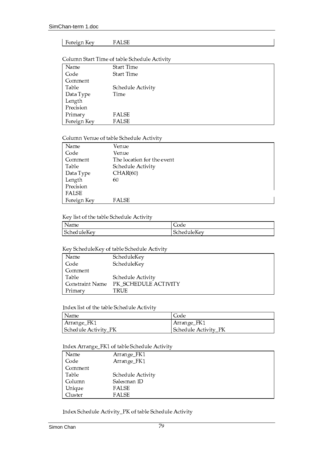### Foreign Key **FALSE**

# Column Start Time of table Schedule Activity

| Name        | Start Time        |
|-------------|-------------------|
| Code        | Start Time        |
| Comment     |                   |
| Table       | Schedule Activity |
| Data Type   | Time              |
| Length      |                   |
| Precision   |                   |
| Primary     | FALSE             |
| Foreign Key | <b>FALSE</b>      |

# Column Venue of table Schedule Activity

| Name        | Venue                      |
|-------------|----------------------------|
| Code        | Venue                      |
| Comment     | The location for the event |
| Table       | Schedule Activity          |
| Data Type   | CHAR(60)                   |
| Length      | 60                         |
| Precision   |                            |
| FALSE       |                            |
| Foreign Key | <b>FALSE</b>               |

# Key list of the table Schedule Activity

| Name        | ⌒<br>Code          |
|-------------|--------------------|
| $\sim$      | $ -$               |
| $ -$        | $\sim$             |
| ScheduleKev | <b>ScheduleKev</b> |

# Key ScheduleKey of table Schedule Activity

| Name            | ScheduleKey          |
|-----------------|----------------------|
| Code            | ScheduleKey          |
| Comment         |                      |
| Table           | Schedule Activity    |
| Constraint Name | PK_SCHEDULE ACTIVITY |
| Primary         | TRUE                 |

# Index list of the table Schedule Activity

| Name                 | Code                 |
|----------------------|----------------------|
| Arrange_FK1          | Arrange_FK1          |
| Schedule Activity_PK | Schedule Activity_PK |

# Index Arrange\_FK1 of table Schedule Activity

| Name    | Arrange_FK1       |
|---------|-------------------|
| Code    | Arrange_FK1       |
| Comment |                   |
| Table   | Schedule Activity |
| Column  | Salesman ID       |
| Unique  | <b>FALSE</b>      |
| Cluster | <b>FALSE</b>      |

Index Schedule Activity\_PK of table Schedule Activity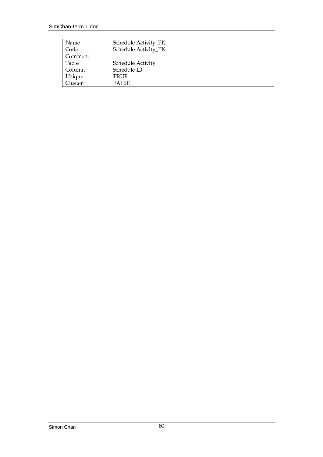| Name    | Schedule Activity_PK |
|---------|----------------------|
| Code    | Schedule Activity_PK |
| Comment |                      |
| Table   | Schedule Activity    |
| Column  | Schedule ID          |
| Unique  | TRUE                 |
| Cluster | <b>FALSE</b>         |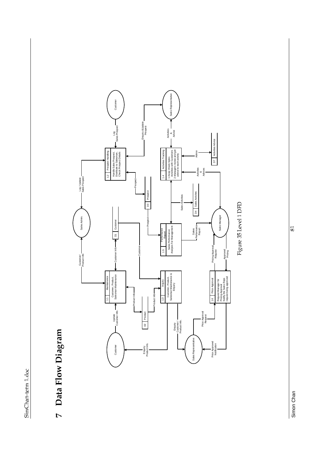# 7 Data Flow Diagram



Figure 35 Level 1 DFD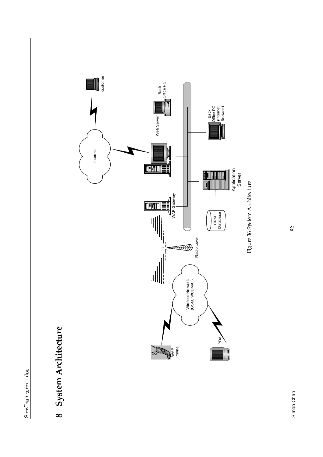8 System Architecture

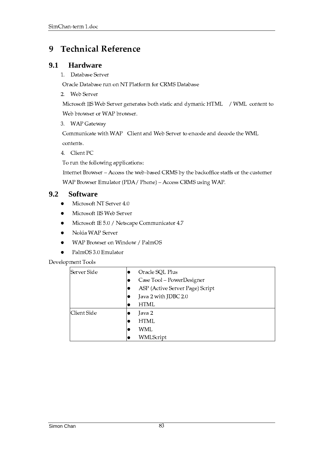### **Technical Reference** 9

### $9.1$ **Hardware**

1. Database Server

Oracle Database run on NT Platform for CRMS Database

2. Web Server

Microsoft IIS Web Server generates both static and dymanic HTML / WML content to Web browser or WAP browser.

3. WAP Gateway

Communicate with WAP Client and Web Server to encode and decode the WML

contents.

4. Client PC

To run the following applications:

Internet Browser - Access the web-based CRMS by the backoffice staffs or the customer WAP Browser Emulator (PDA/Phone) - Access CRMS using WAP.

### $9.2$ **Software**

- Microsoft NT Server 4.0  $\bullet$
- Microsoft IIS Web Server  $\bullet$
- Microsoft IE 5.0 / Netscape Communicator 4.7  $\bullet$
- Nokia WAP Server
- WAP Browser on Window / PalmOS  $\bullet$
- PalmOS 3.0 Emulator  $\bullet$

# Development Tools

| Server Side |    | Oracle SQL Plus                 |
|-------------|----|---------------------------------|
|             | lo | Case Tool - PowerDesigner       |
|             |    | ASP (Active Server Page) Script |
|             |    | Java 2 with JDBC 2.0            |
|             | ю  | <b>HTML</b>                     |
| Client Side |    | Java 2                          |
|             |    | HTML                            |
|             |    | WML                             |
|             |    | WMLScript                       |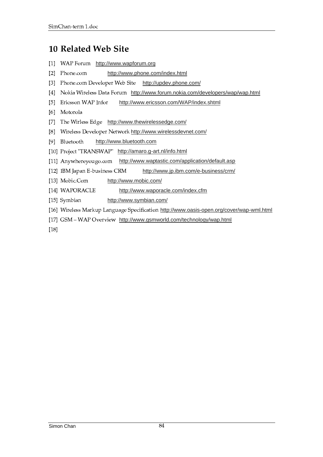# 10 Related Web Site

- [1] WAP Forum http://www.wapforum.org
- [2] Phone.com http://www.phone.com/index.html
- [3] Phone.com Developer Web Site http://updev.phone.com/
- [4] Nokia Wireless Data Forum http://www.forum.nokia.com/developers/wap/wap.html
- [5] Ericsson WAP Infor http://www.ericsson.com/WAP/index.shtml
- [6] Motorola
- [7] The Wirless Edge http://www.thewirelessedge.com/
- [8] Wireless Developer Network http://www.wirelessdevnet.com/
- [9] Bluetooth http://www.bluetooth.com
- [10] Project "TRANSWAP" http://amaro.g-art.nl/info.html
- [11] Anywhereyougo.com http://www.waptastic.com/application/default.asp
- [12] IBM Japan E-business CRM http://www.jp.ibm.com/e-business/crm/
- [13] Mobic.Com http://www.mobic.com/
- [14] WAPORACLE http://www.waporacle.com/index.cfm
- http://www.symbian.com/ [15] Symbian
- [16] Wireless Markup Language Specification http://www.oasis-open.org/cover/wap-wml.html
- [17] GSM WAP Overview http://www.gsmworld.com/technology/wap.html
- $[18]$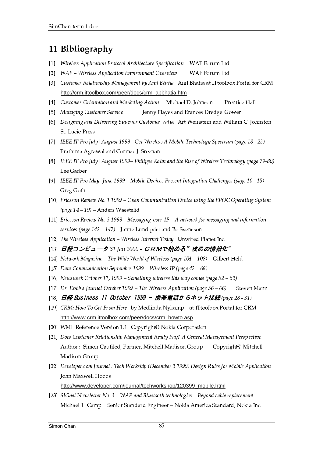# 11 Bibliography

- [1] Wireless Application Protocol Architecture Specification WAP Forum Ltd
- [2] WAP Wireless Application Environment Overview WAP Forum Ltd
- [3] Customer Relationship Management by Anil Bhatia Anil Bhatia at ITtoolbox Portal for CRM http://crm.ittoolbox.com/peer/docs/crm\_abbhatia.htm
- [4] Customer Orientation and Marketing Action Michael D. Johnson Prentice Hall
- [5] Managing Customer Service Jenny Hayes and Erances Dredge Gower
- [6] Designing and Delivering Superior Customer Value Art Weinstein and William C. Johnston St. Lucie Press
- [7] IEEE IT Pro July | August 1999 Get Wireless A Mobile Technology Spectrum (page  $18-23$ ) Prathima Agrawal and Cormac J. Sreenan
- [8] IEEE IT Pro July | August 1999 Philippe Kahn and the Rise of Wireless Technology (page 77–80) Lee Garber
- [9] IEEE IT Pro May | June 1999 Mobile Devices Present Integration Challenges (page 10 –15) Greg Goth
- [10] Ericsson Review No. 1 1999 Open Communication Device using the EPOC Operating System (page  $14 - 19$ ) – Anders Waestelid
- [11] Ericsson Review No. 3 1999 Messaging-over-IP A network for messaging and information services ( $page 142 - 147$ ) – Janne Lundqvist and Bo Svensson
- [12] The Wireless Application Wireless Internet Today Unwired Planet Inc.
- [13] 日経コンビュータ31 Jan 2000 CRMで始める"攻めの情報化"
- [14] Network Magazine The Wide World of Wireless (page  $104 108$ ) Gilbert Held
- [15] Data Communication September 1999 Wireless IP (page  $42 68$ )
- [16] Newsweek October 11, 1999 Something wireless this way comes (page  $52 53$ )
- [17] Dr. Dobb's Journal October 1999 The Wireless Application (page  $56-66$ ) Steven Mann
- [18] 日経 Business 11 October 1999 携帯電話からネット接続(page 28 31)
- [19] CRM: How To Get From Here by Medlinda Nykamp at ITtoolbox Portal for CRM http://www.crm.ittoolbox.com/peer/docs/crm\_howto.asp
- [20] WML Reference Version 1.1 Copyright© Nokia Corporation
- [21] Does Customer Relationship Management Really Pay? A General Management Perspective Author: Simon Caufiled, Partner, Mitchell Madison Group Copyright© Mitchell Madison Group
- [22] Developer.com Journal : Tech Workship (December 3 1999) Design Rules for Mobile Application John Maxwell Hobbs

http://www.developer.com/journal/techworkshop/120399\_mobile.html

[23] SIGnal Newsletter No.  $3 - WAP$  and Bluetooth technologies  $-$  Beyond cable replacement Michael T. Camp Senior Standard Engineer - Nokia America Standard, Nokia Inc.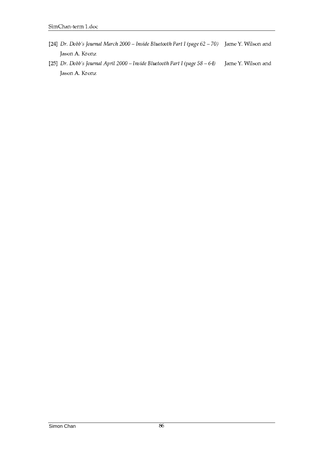- [24] Dr. Dobb's Journal March 2000 Inside Bluetooth Part I (page  $62-70$ ) Jame Y. Wilson and Jason A. Kronz
- [25] Dr. Dobb's Journal April 2000 Inside Bluetooth Part I (page  $58 64$ ) Jame Y. Wilson and Jason A. Kronz